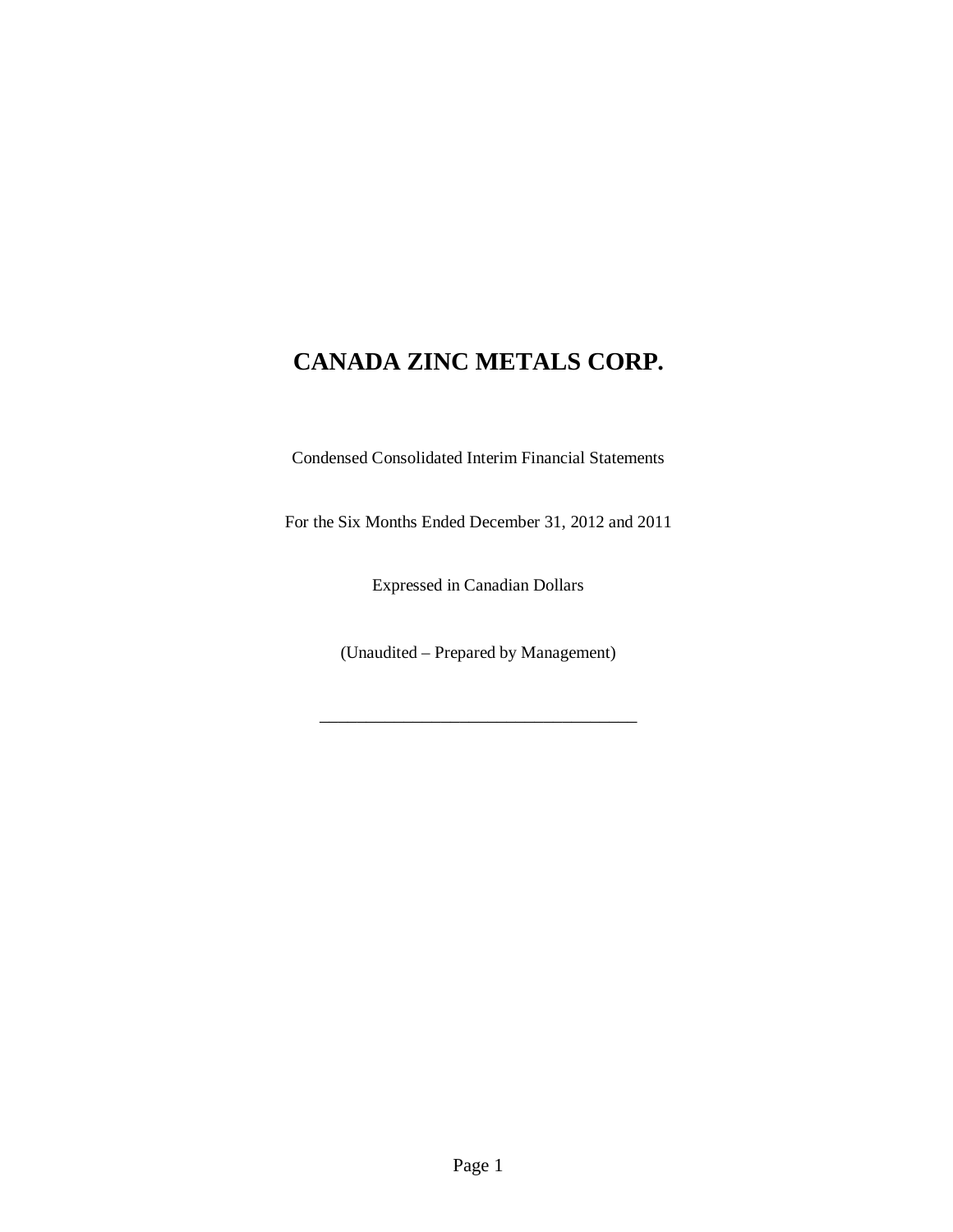Condensed Consolidated Interim Financial Statements

For the Six Months Ended December 31, 2012 and 2011

Expressed in Canadian Dollars

(Unaudited – Prepared by Management)

\_\_\_\_\_\_\_\_\_\_\_\_\_\_\_\_\_\_\_\_\_\_\_\_\_\_\_\_\_\_\_\_\_\_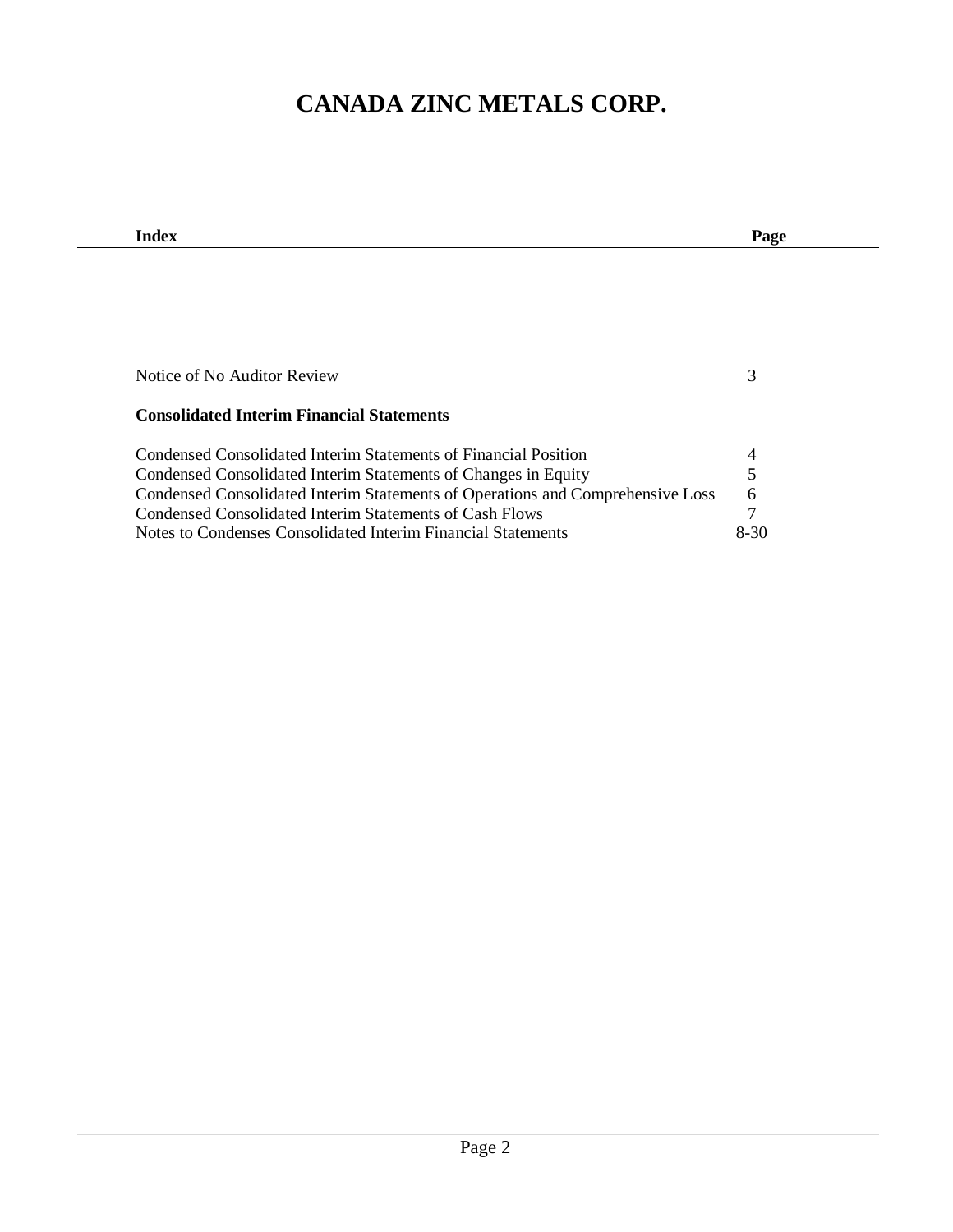| Index                                                                          | Page   |
|--------------------------------------------------------------------------------|--------|
|                                                                                |        |
|                                                                                |        |
|                                                                                |        |
|                                                                                |        |
|                                                                                |        |
|                                                                                |        |
| Notice of No Auditor Review                                                    | 3      |
|                                                                                |        |
| <b>Consolidated Interim Financial Statements</b>                               |        |
| Condensed Consolidated Interim Statements of Financial Position                | 4      |
| Condensed Consolidated Interim Statements of Changes in Equity                 | 5      |
| Condensed Consolidated Interim Statements of Operations and Comprehensive Loss | 6      |
| Condensed Consolidated Interim Statements of Cash Flows                        | 7      |
| Notes to Condenses Consolidated Interim Financial Statements                   | $8-30$ |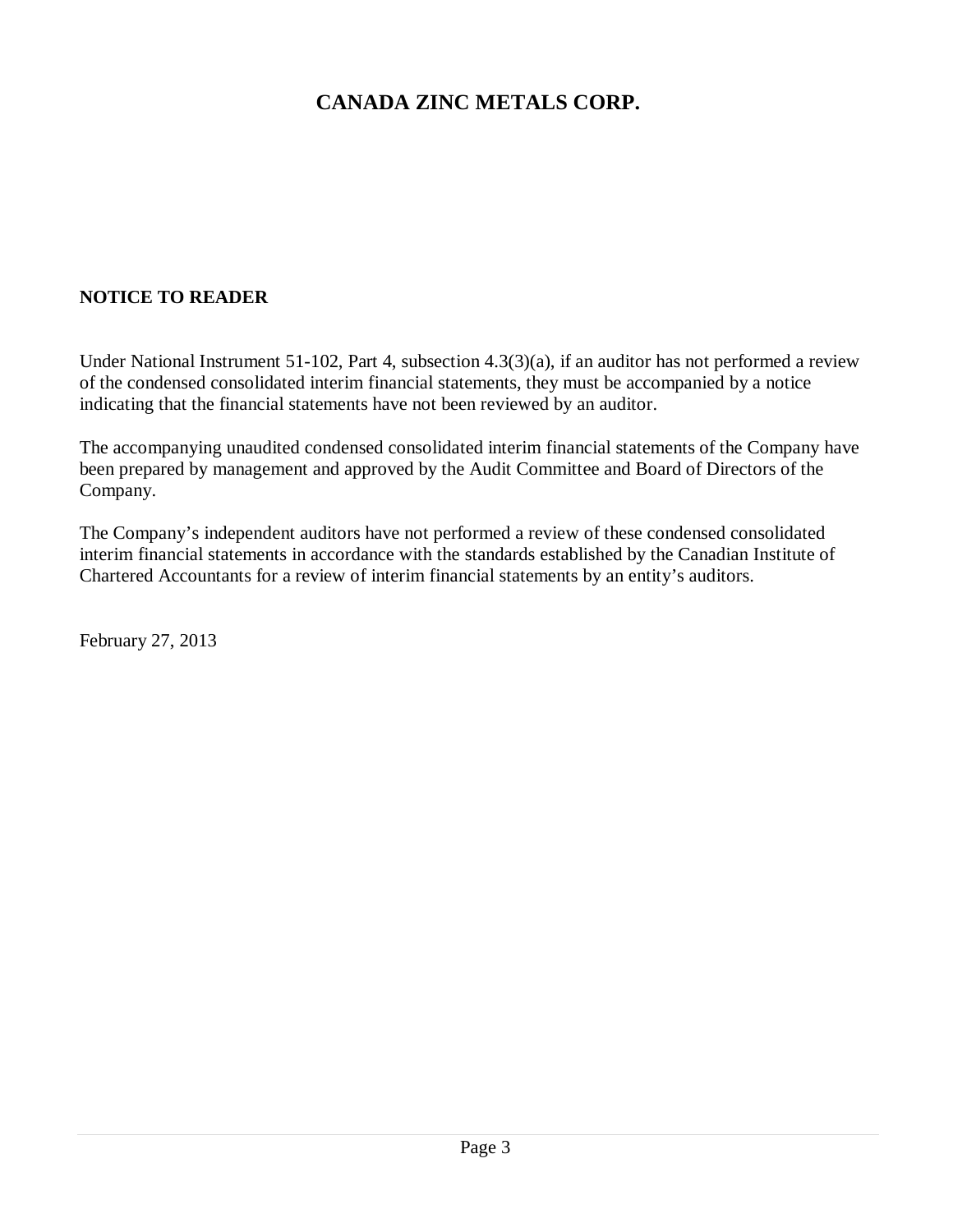## **NOTICE TO READER**

Under National Instrument 51-102, Part 4, subsection 4.3(3)(a), if an auditor has not performed a review of the condensed consolidated interim financial statements, they must be accompanied by a notice indicating that the financial statements have not been reviewed by an auditor.

The accompanying unaudited condensed consolidated interim financial statements of the Company have been prepared by management and approved by the Audit Committee and Board of Directors of the Company.

The Company's independent auditors have not performed a review of these condensed consolidated interim financial statements in accordance with the standards established by the Canadian Institute of Chartered Accountants for a review of interim financial statements by an entity's auditors.

February 27, 2013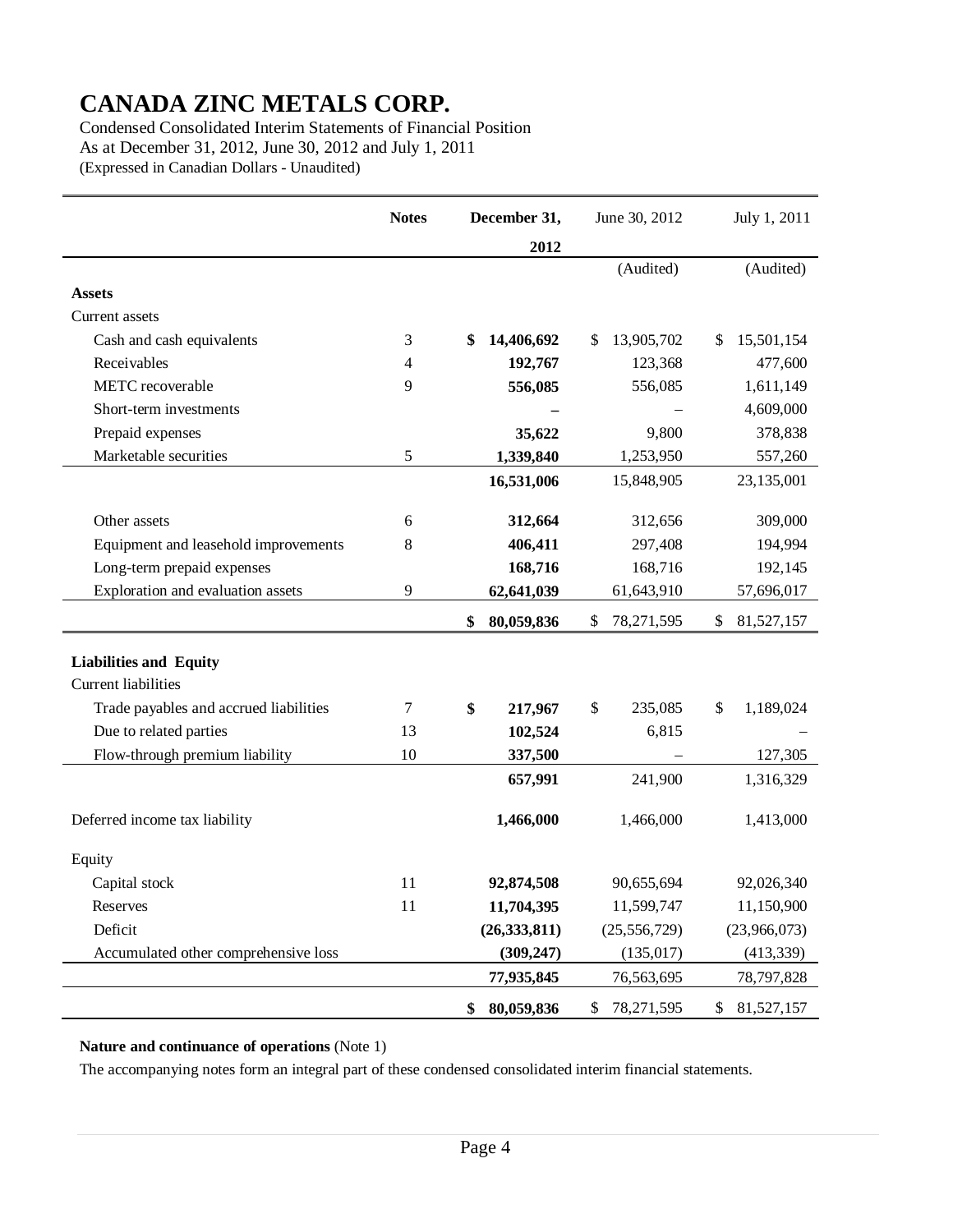Condensed Consolidated Interim Statements of Financial Position As at December 31, 2012, June 30, 2012 and July 1, 2011 (Expressed in Canadian Dollars - Unaudited)

|                                        | <b>Notes</b> | December 31,     | June 30, 2012    | July 1, 2011     |
|----------------------------------------|--------------|------------------|------------------|------------------|
|                                        |              | 2012             |                  |                  |
|                                        |              |                  | (Audited)        | (Audited)        |
| <b>Assets</b>                          |              |                  |                  |                  |
| Current assets                         |              |                  |                  |                  |
| Cash and cash equivalents              | 3            | 14,406,692<br>\$ | \$<br>13,905,702 | 15,501,154<br>\$ |
| Receivables                            | 4            | 192,767          | 123,368          | 477,600          |
| METC recoverable                       | 9            | 556,085          | 556,085          | 1,611,149        |
| Short-term investments                 |              |                  |                  | 4,609,000        |
| Prepaid expenses                       |              | 35,622           | 9,800            | 378,838          |
| Marketable securities                  | 5            | 1,339,840        | 1,253,950        | 557,260          |
|                                        |              | 16,531,006       | 15,848,905       | 23,135,001       |
|                                        |              |                  |                  |                  |
| Other assets                           | 6            | 312,664          | 312,656          | 309,000          |
| Equipment and leasehold improvements   | 8            | 406,411          | 297,408          | 194,994          |
| Long-term prepaid expenses             |              | 168,716          | 168,716          | 192,145          |
| Exploration and evaluation assets      | 9            | 62,641,039       | 61,643,910       | 57,696,017       |
|                                        |              | 80,059,836<br>\$ | \$<br>78,271,595 | 81,527,157<br>\$ |
| <b>Liabilities and Equity</b>          |              |                  |                  |                  |
| <b>Current liabilities</b>             |              |                  |                  |                  |
| Trade payables and accrued liabilities | 7            | \$<br>217,967    | \$<br>235,085    | 1,189,024<br>\$  |
| Due to related parties                 | 13           | 102,524          | 6,815            |                  |
| Flow-through premium liability         | 10           | 337,500          |                  | 127,305          |
|                                        |              | 657,991          | 241,900          | 1,316,329        |
| Deferred income tax liability          |              | 1,466,000        | 1,466,000        | 1,413,000        |
| Equity                                 |              |                  |                  |                  |
| Capital stock                          | 11           | 92,874,508       | 90,655,694       | 92,026,340       |
| Reserves                               | 11           | 11,704,395       | 11,599,747       | 11,150,900       |
| Deficit                                |              | (26, 333, 811)   | (25, 556, 729)   | (23,966,073)     |
| Accumulated other comprehensive loss   |              | (309, 247)       | (135, 017)       | (413, 339)       |
|                                        |              | 77,935,845       | 76,563,695       | 78,797,828       |
|                                        |              | \$<br>80,059,836 | 78,271,595<br>\$ | \$<br>81,527,157 |

#### **Nature and continuance of operations** (Note 1)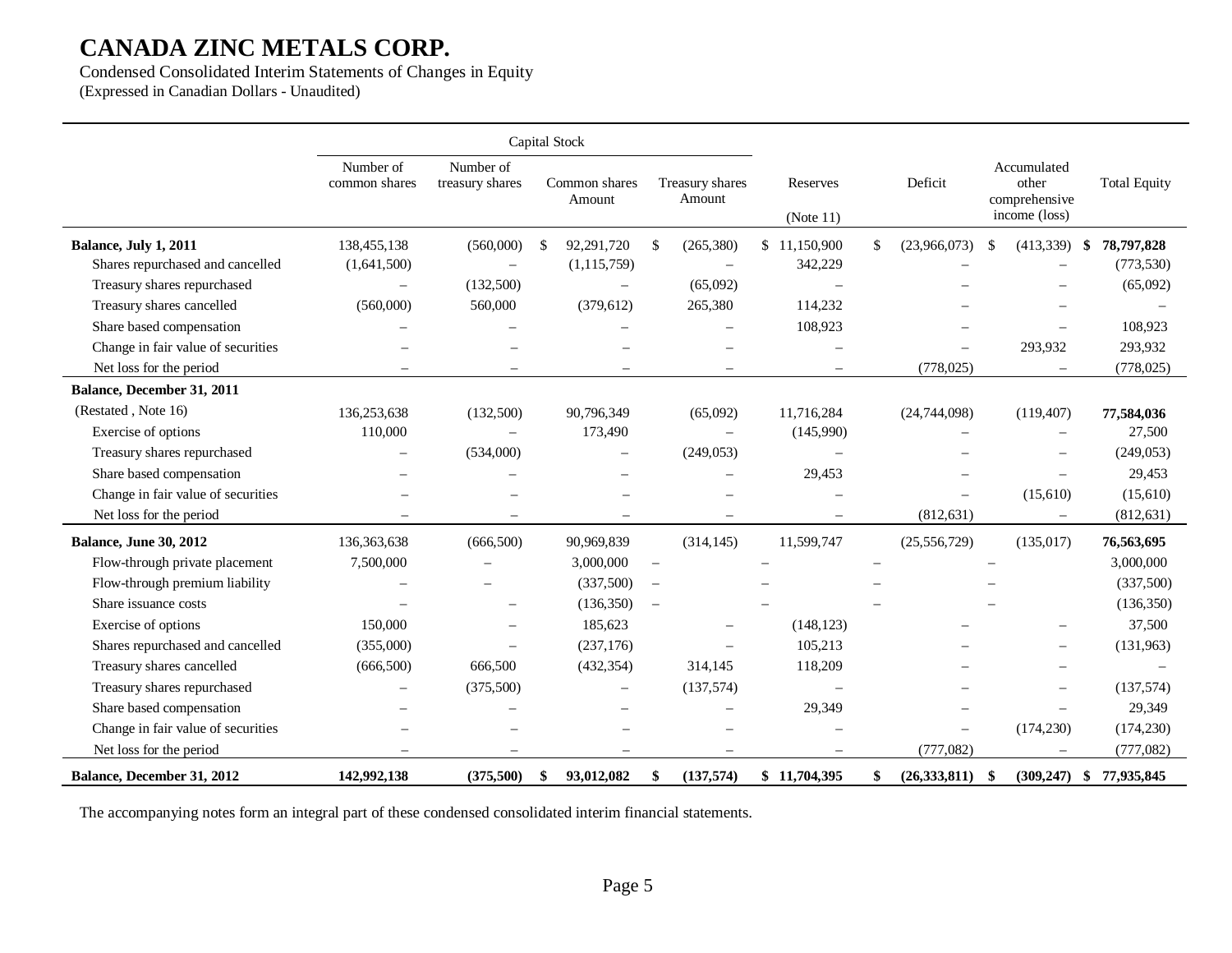Condensed Consolidated Interim Statements of Changes in Equity (Expressed in Canadian Dollars - Unaudited)

|                                    |                            |                              | Capital Stock            |                           |                          |                |                                                        |                           |
|------------------------------------|----------------------------|------------------------------|--------------------------|---------------------------|--------------------------|----------------|--------------------------------------------------------|---------------------------|
|                                    | Number of<br>common shares | Number of<br>treasury shares | Common shares<br>Amount  | Treasury shares<br>Amount | Reserves<br>(Note 11)    | Deficit        | Accumulated<br>other<br>comprehensive<br>income (loss) | <b>Total Equity</b>       |
| Balance, July 1, 2011              | 138,455,138                | (560,000)                    | 92,291,720<br>S          | (265, 380)<br>S.          | \$11,150,900             | (23,966,073)   | (413,339)<br>S                                         | 78,797,828<br>-\$         |
| Shares repurchased and cancelled   | (1,641,500)                | $\frac{1}{2}$                | (1, 115, 759)            | $\overline{\phantom{a}}$  | 342,229                  |                |                                                        | (773, 530)                |
| Treasury shares repurchased        |                            | (132,500)                    | $\overline{\phantom{m}}$ | (65,092)                  |                          |                |                                                        | (65,092)                  |
| Treasury shares cancelled          | (560,000)                  | 560,000                      | (379, 612)               | 265,380                   | 114,232                  |                |                                                        |                           |
| Share based compensation           |                            |                              |                          |                           | 108,923                  |                |                                                        | 108,923                   |
| Change in fair value of securities |                            |                              |                          |                           |                          |                | 293,932                                                | 293,932                   |
| Net loss for the period            |                            |                              |                          |                           |                          | (778, 025)     |                                                        | (778, 025)                |
| Balance, December 31, 2011         |                            |                              |                          |                           |                          |                |                                                        |                           |
| (Restated, Note 16)                | 136,253,638                | (132,500)                    | 90,796,349               | (65,092)                  | 11,716,284               | (24,744,098)   | (119, 407)                                             | 77,584,036                |
| Exercise of options                | 110,000                    |                              | 173,490                  | $\overline{\phantom{m}}$  | (145,990)                |                |                                                        | 27,500                    |
| Treasury shares repurchased        |                            | (534,000)                    |                          | (249, 053)                |                          |                |                                                        | (249, 053)                |
| Share based compensation           |                            |                              |                          |                           | 29,453                   |                |                                                        | 29,453                    |
| Change in fair value of securities |                            |                              |                          |                           |                          |                | (15,610)                                               | (15,610)                  |
| Net loss for the period            |                            |                              |                          |                           |                          | (812, 631)     |                                                        | (812, 631)                |
| <b>Balance, June 30, 2012</b>      | 136,363,638                | (666,500)                    | 90,969,839               | (314, 145)                | 11,599,747               | (25, 556, 729) | (135, 017)                                             | 76,563,695                |
| Flow-through private placement     | 7,500,000                  |                              | 3,000,000                | $\overline{\phantom{m}}$  |                          |                |                                                        | 3,000,000                 |
| Flow-through premium liability     |                            |                              | (337,500)                | $\overline{\phantom{m}}$  |                          |                |                                                        | (337,500)                 |
| Share issuance costs               |                            |                              | (136, 350)               | $\overline{\phantom{m}}$  |                          |                |                                                        | (136, 350)                |
| Exercise of options                | 150,000                    |                              | 185,623                  |                           | (148, 123)               |                |                                                        | 37,500                    |
| Shares repurchased and cancelled   | (355,000)                  |                              | (237, 176)               |                           | 105,213                  |                |                                                        | (131,963)                 |
| Treasury shares cancelled          | (666, 500)                 | 666,500                      | (432, 354)               | 314,145                   | 118,209                  |                |                                                        |                           |
| Treasury shares repurchased        |                            | (375,500)                    | $\qquad \qquad -$        | (137,574)                 | $\overline{\phantom{0}}$ |                |                                                        | (137, 574)                |
| Share based compensation           |                            |                              |                          |                           | 29,349                   |                |                                                        | 29,349                    |
| Change in fair value of securities |                            |                              |                          |                           |                          |                | (174, 230)                                             | (174, 230)                |
| Net loss for the period            | $\overline{\phantom{m}}$   |                              | $\equiv$                 | $\sim$                    | $\overline{\phantom{0}}$ | (777,082)      | $\overline{\phantom{0}}$                               | (777,082)                 |
| Balance, December 31, 2012         | 142,992,138                | (375,500)                    | 93,012,082<br>S          | (137, 574)<br>\$          | \$11,704,395             | (26, 333, 811) | -\$                                                    | $(309,247)$ \$ 77,935,845 |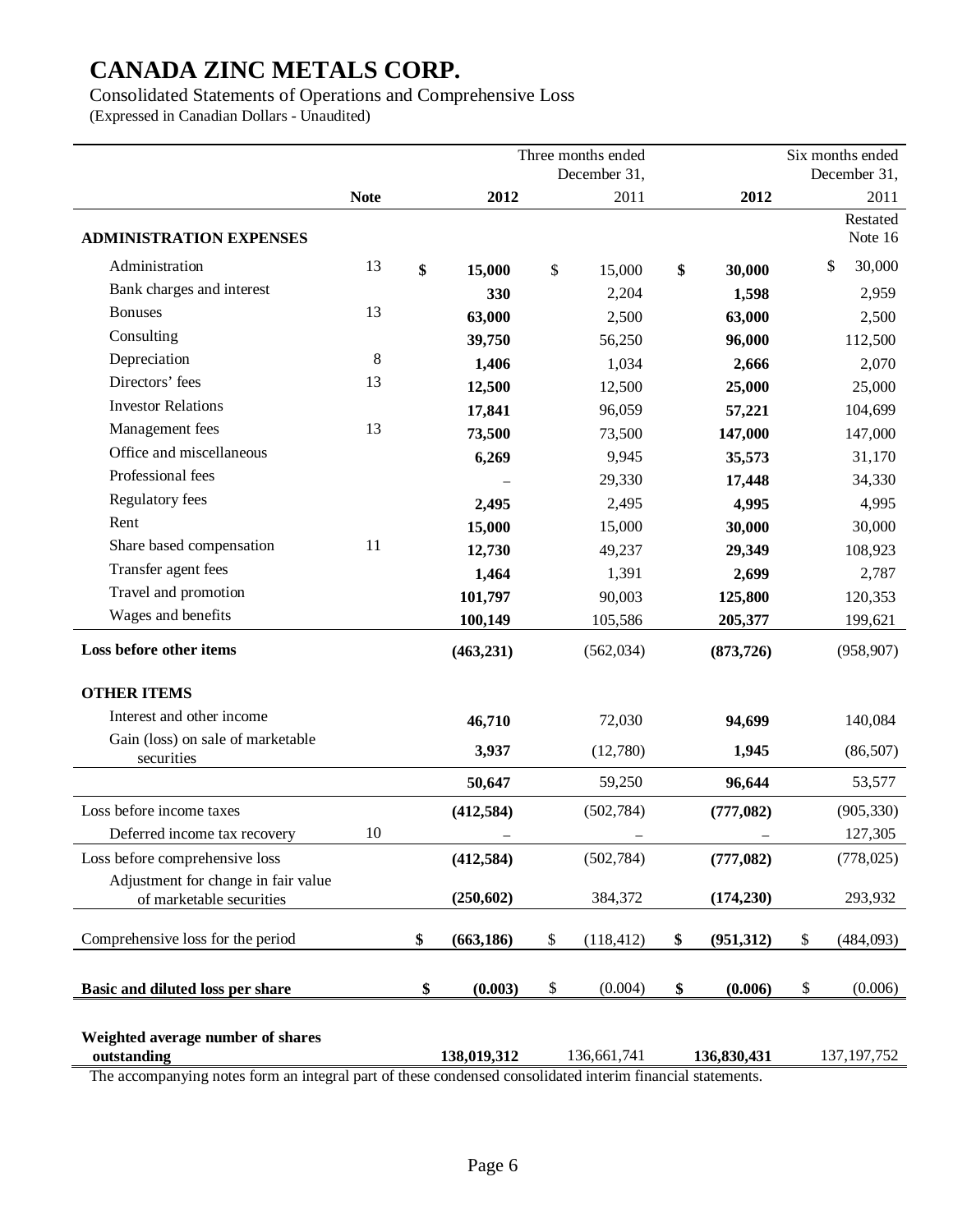Consolidated Statements of Operations and Comprehensive Loss

(Expressed in Canadian Dollars - Unaudited)

|                                                                 |             | Three months ended |             | Six months ended |             |                  |                     |
|-----------------------------------------------------------------|-------------|--------------------|-------------|------------------|-------------|------------------|---------------------|
|                                                                 |             | December 31,       |             |                  |             |                  | December 31,        |
|                                                                 | <b>Note</b> |                    | 2012        |                  | 2011        | 2012             | 2011                |
| <b>ADMINISTRATION EXPENSES</b>                                  |             |                    |             |                  |             |                  | Restated<br>Note 16 |
| Administration                                                  | 13          | \$                 | 15,000      | \$               | 15,000      | \$<br>30,000     | 30,000<br>\$        |
| Bank charges and interest                                       |             |                    | 330         |                  | 2,204       | 1,598            | 2,959               |
| <b>Bonuses</b>                                                  | 13          |                    | 63,000      |                  | 2,500       | 63,000           | 2,500               |
| Consulting                                                      |             |                    | 39,750      |                  | 56,250      | 96,000           | 112,500             |
| Depreciation                                                    | 8           |                    | 1,406       |                  | 1,034       | 2,666            | 2,070               |
| Directors' fees                                                 | 13          |                    | 12,500      |                  | 12,500      | 25,000           | 25,000              |
| <b>Investor Relations</b>                                       |             |                    | 17,841      |                  | 96,059      | 57,221           | 104,699             |
| Management fees                                                 | 13          |                    | 73,500      |                  | 73,500      | 147,000          | 147,000             |
| Office and miscellaneous                                        |             |                    | 6,269       |                  | 9,945       | 35,573           | 31,170              |
| Professional fees                                               |             |                    |             |                  | 29,330      | 17,448           | 34,330              |
| Regulatory fees                                                 |             |                    | 2,495       |                  | 2,495       | 4,995            | 4,995               |
| Rent                                                            |             |                    | 15,000      |                  | 15,000      | 30,000           | 30,000              |
| Share based compensation                                        | 11          |                    | 12,730      |                  | 49,237      | 29,349           | 108,923             |
| Transfer agent fees                                             |             |                    | 1,464       |                  | 1,391       | 2,699            | 2,787               |
| Travel and promotion                                            |             |                    | 101,797     |                  | 90,003      | 125,800          | 120,353             |
| Wages and benefits                                              |             |                    | 100,149     |                  | 105,586     | 205,377          | 199,621             |
| Loss before other items                                         |             |                    | (463, 231)  |                  | (562, 034)  | (873, 726)       | (958, 907)          |
| <b>OTHER ITEMS</b>                                              |             |                    |             |                  |             |                  |                     |
| Interest and other income                                       |             |                    | 46,710      |                  | 72,030      | 94,699           | 140,084             |
| Gain (loss) on sale of marketable<br>securities                 |             |                    | 3,937       |                  | (12,780)    | 1,945            | (86, 507)           |
|                                                                 |             |                    | 50,647      |                  | 59,250      | 96,644           | 53,577              |
| Loss before income taxes                                        |             |                    | (412, 584)  |                  | (502, 784)  | (777,082)        | (905, 330)          |
| Deferred income tax recovery                                    | 10          |                    |             |                  |             |                  | 127,305             |
| Loss before comprehensive loss                                  |             |                    | (412, 584)  |                  | (502, 784)  | (777, 082)       | (778, 025)          |
| Adjustment for change in fair value<br>of marketable securities |             |                    | (250, 602)  |                  | 384,372     | (174, 230)       | 293,932             |
| Comprehensive loss for the period                               |             | \$                 | (663, 186)  | \$               | (118, 412)  | \$<br>(951, 312) | \$<br>(484,093)     |
| Basic and diluted loss per share                                |             | \$                 | (0.003)     | \$               | (0.004)     | \$<br>(0.006)    | \$<br>(0.006)       |
| Weighted average number of shares<br>outstanding<br>m.          |             |                    | 138,019,312 |                  | 136,661,741 | 136,830,431      | 137, 197, 752       |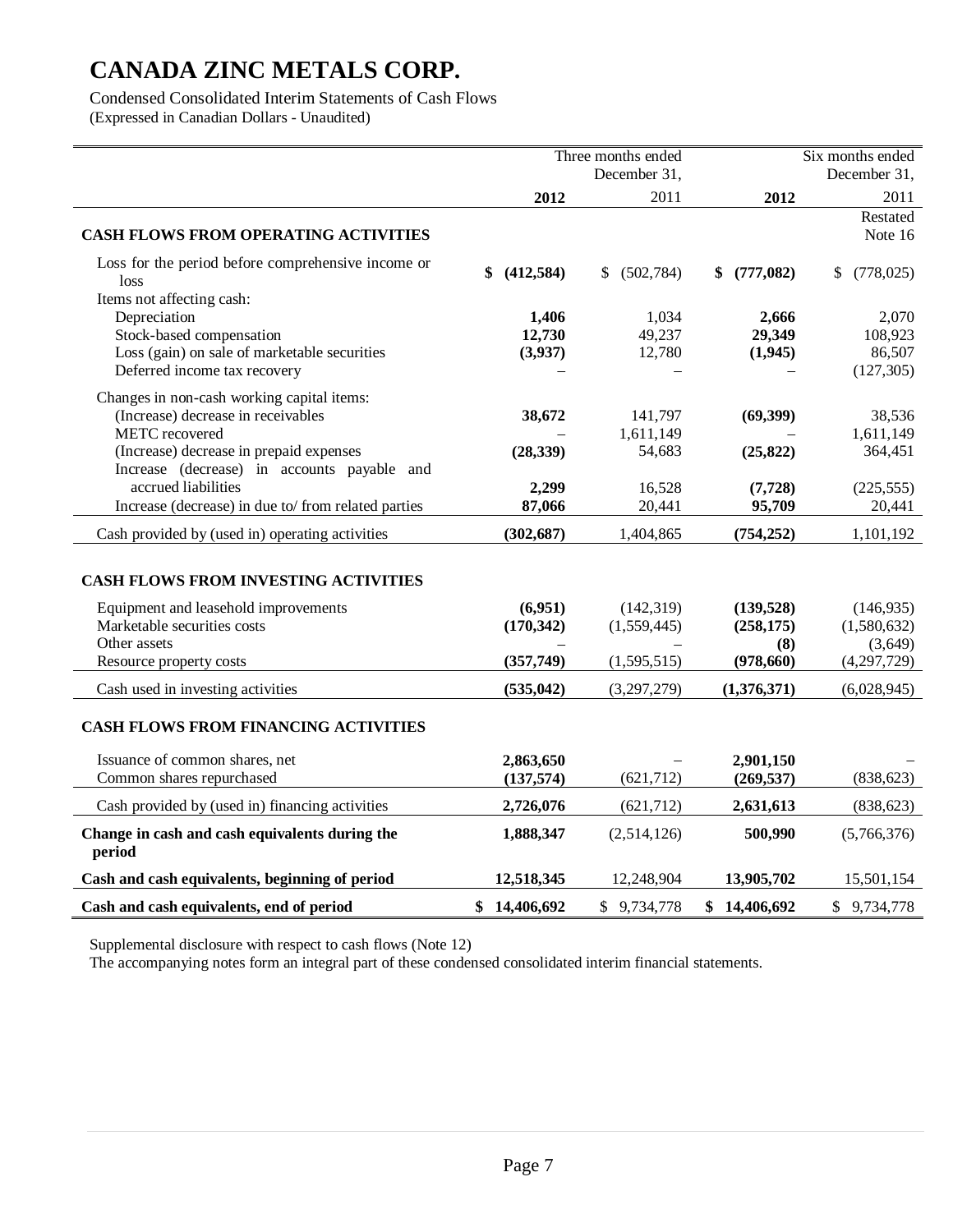Condensed Consolidated Interim Statements of Cash Flows

(Expressed in Canadian Dollars - Unaudited)

|                                                                                        |                   | Three months ended |                 | Six months ended |
|----------------------------------------------------------------------------------------|-------------------|--------------------|-----------------|------------------|
|                                                                                        |                   | December 31,       |                 | December 31,     |
|                                                                                        | 2012              | 2011               | 2012            | 2011             |
|                                                                                        |                   |                    |                 | Restated         |
| <b>CASH FLOWS FROM OPERATING ACTIVITIES</b>                                            |                   |                    |                 | Note 16          |
| Loss for the period before comprehensive income or<br>loss                             | (412, 584)<br>\$  | (502, 784)<br>S.   | (777,082)<br>\$ | (778, 025)<br>\$ |
| Items not affecting cash:                                                              |                   |                    |                 |                  |
| Depreciation<br>Stock-based compensation                                               | 1,406             | 1,034<br>49,237    | 2,666<br>29,349 | 2,070<br>108,923 |
| Loss (gain) on sale of marketable securities                                           | 12,730<br>(3,937) | 12,780             | (1,945)         | 86,507           |
| Deferred income tax recovery                                                           |                   |                    |                 | (127, 305)       |
|                                                                                        |                   |                    |                 |                  |
| Changes in non-cash working capital items:                                             |                   |                    |                 |                  |
| (Increase) decrease in receivables                                                     | 38,672            | 141,797            | (69, 399)       | 38,536           |
| METC recovered                                                                         |                   | 1,611,149          |                 | 1,611,149        |
| (Increase) decrease in prepaid expenses<br>Increase (decrease) in accounts payable and | (28, 339)         | 54,683             | (25, 822)       | 364,451          |
| accrued liabilities                                                                    | 2,299             | 16,528             | (7, 728)        | (225, 555)       |
| Increase (decrease) in due to/from related parties                                     | 87,066            | 20,441             | 95,709          | 20,441           |
|                                                                                        |                   |                    |                 |                  |
| Cash provided by (used in) operating activities                                        | (302, 687)        | 1,404,865          | (754, 252)      | 1,101,192        |
| CASH FLOWS FROM INVESTING ACTIVITIES                                                   |                   |                    |                 |                  |
| Equipment and leasehold improvements                                                   | (6,951)           | (142, 319)         | (139, 528)      | (146, 935)       |
| Marketable securities costs                                                            | (170, 342)        | (1,559,445)        | (258, 175)      | (1,580,632)      |
| Other assets                                                                           |                   |                    | (8)             | (3,649)          |
| Resource property costs                                                                | (357,749)         | (1,595,515)        | (978, 660)      | (4,297,729)      |
| Cash used in investing activities                                                      | (535, 042)        | (3,297,279)        | (1,376,371)     | (6,028,945)      |
| <b>CASH FLOWS FROM FINANCING ACTIVITIES</b>                                            |                   |                    |                 |                  |
| Issuance of common shares, net                                                         | 2,863,650         |                    | 2,901,150       |                  |
| Common shares repurchased                                                              | (137, 574)        | (621, 712)         | (269, 537)      | (838, 623)       |
| Cash provided by (used in) financing activities                                        | 2,726,076         | (621, 712)         | 2,631,613       | (838, 623)       |
| Change in cash and cash equivalents during the<br>period                               | 1,888,347         | (2,514,126)        | 500,990         | (5,766,376)      |
| Cash and cash equivalents, beginning of period                                         | 12,518,345        | 12,248,904         | 13,905,702      | 15,501,154       |
| Cash and cash equivalents, end of period                                               | \$14,406,692      | \$9,734,778        | \$14,406,692    | \$9,734,778      |

Supplemental disclosure with respect to cash flows (Note 12)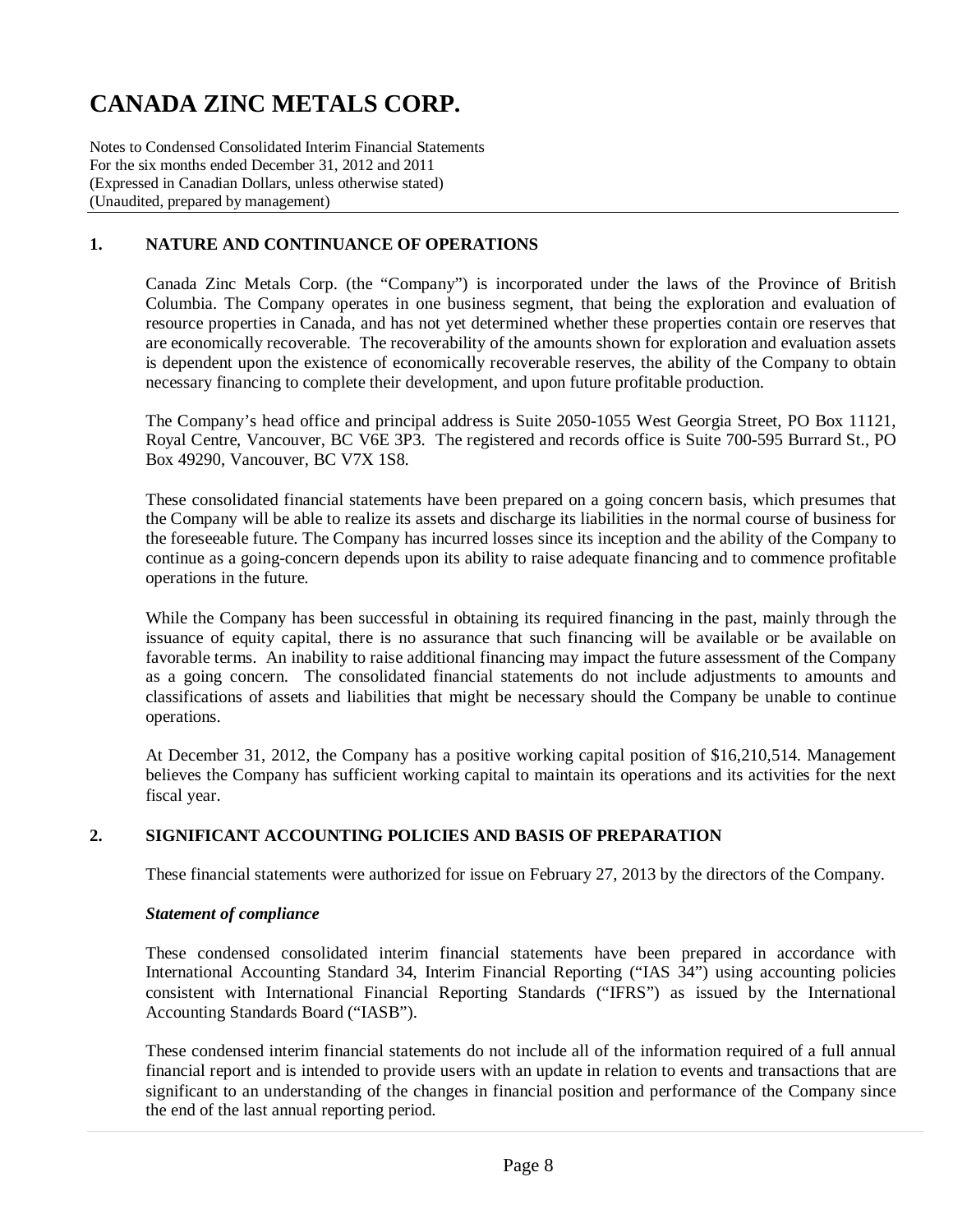Notes to Condensed Consolidated Interim Financial Statements For the six months ended December 31, 2012 and 2011 (Expressed in Canadian Dollars, unless otherwise stated) (Unaudited, prepared by management)

### **1. NATURE AND CONTINUANCE OF OPERATIONS**

Canada Zinc Metals Corp. (the "Company") is incorporated under the laws of the Province of British Columbia. The Company operates in one business segment, that being the exploration and evaluation of resource properties in Canada, and has not yet determined whether these properties contain ore reserves that are economically recoverable. The recoverability of the amounts shown for exploration and evaluation assets is dependent upon the existence of economically recoverable reserves, the ability of the Company to obtain necessary financing to complete their development, and upon future profitable production.

The Company's head office and principal address is Suite 2050-1055 West Georgia Street, PO Box 11121, Royal Centre, Vancouver, BC V6E 3P3. The registered and records office is Suite 700-595 Burrard St., PO Box 49290, Vancouver, BC V7X 1S8.

These consolidated financial statements have been prepared on a going concern basis, which presumes that the Company will be able to realize its assets and discharge its liabilities in the normal course of business for the foreseeable future. The Company has incurred losses since its inception and the ability of the Company to continue as a going-concern depends upon its ability to raise adequate financing and to commence profitable operations in the future.

While the Company has been successful in obtaining its required financing in the past, mainly through the issuance of equity capital, there is no assurance that such financing will be available or be available on favorable terms. An inability to raise additional financing may impact the future assessment of the Company as a going concern. The consolidated financial statements do not include adjustments to amounts and classifications of assets and liabilities that might be necessary should the Company be unable to continue operations.

At December 31, 2012, the Company has a positive working capital position of \$16,210,514. Management believes the Company has sufficient working capital to maintain its operations and its activities for the next fiscal year.

### **2. SIGNIFICANT ACCOUNTING POLICIES AND BASIS OF PREPARATION**

These financial statements were authorized for issue on February 27, 2013 by the directors of the Company.

#### *Statement of compliance*

These condensed consolidated interim financial statements have been prepared in accordance with International Accounting Standard 34, Interim Financial Reporting ("IAS 34") using accounting policies consistent with International Financial Reporting Standards ("IFRS") as issued by the International Accounting Standards Board ("IASB").

These condensed interim financial statements do not include all of the information required of a full annual financial report and is intended to provide users with an update in relation to events and transactions that are significant to an understanding of the changes in financial position and performance of the Company since the end of the last annual reporting period.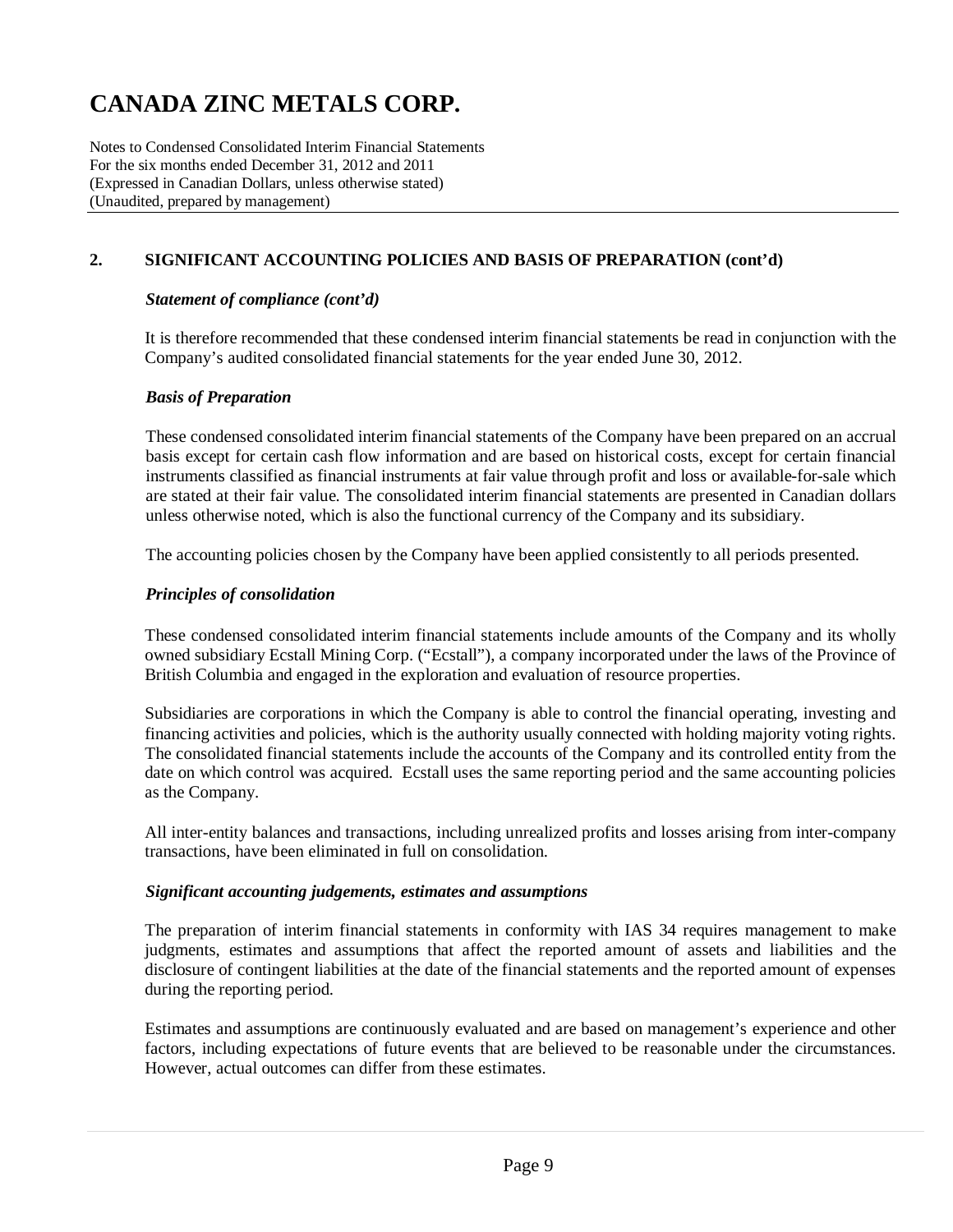Notes to Condensed Consolidated Interim Financial Statements For the six months ended December 31, 2012 and 2011 (Expressed in Canadian Dollars, unless otherwise stated) (Unaudited, prepared by management)

### **2. SIGNIFICANT ACCOUNTING POLICIES AND BASIS OF PREPARATION (cont'd)**

#### *Statement of compliance (cont'd)*

It is therefore recommended that these condensed interim financial statements be read in conjunction with the Company's audited consolidated financial statements for the year ended June 30, 2012.

#### *Basis of Preparation*

These condensed consolidated interim financial statements of the Company have been prepared on an accrual basis except for certain cash flow information and are based on historical costs, except for certain financial instruments classified as financial instruments at fair value through profit and loss or available-for-sale which are stated at their fair value. The consolidated interim financial statements are presented in Canadian dollars unless otherwise noted, which is also the functional currency of the Company and its subsidiary.

The accounting policies chosen by the Company have been applied consistently to all periods presented.

#### *Principles of consolidation*

These condensed consolidated interim financial statements include amounts of the Company and its wholly owned subsidiary Ecstall Mining Corp. ("Ecstall"), a company incorporated under the laws of the Province of British Columbia and engaged in the exploration and evaluation of resource properties.

Subsidiaries are corporations in which the Company is able to control the financial operating, investing and financing activities and policies, which is the authority usually connected with holding majority voting rights. The consolidated financial statements include the accounts of the Company and its controlled entity from the date on which control was acquired. Ecstall uses the same reporting period and the same accounting policies as the Company.

All inter-entity balances and transactions, including unrealized profits and losses arising from inter-company transactions, have been eliminated in full on consolidation.

#### *Significant accounting judgements, estimates and assumptions*

The preparation of interim financial statements in conformity with IAS 34 requires management to make judgments, estimates and assumptions that affect the reported amount of assets and liabilities and the disclosure of contingent liabilities at the date of the financial statements and the reported amount of expenses during the reporting period.

Estimates and assumptions are continuously evaluated and are based on management's experience and other factors, including expectations of future events that are believed to be reasonable under the circumstances. However, actual outcomes can differ from these estimates.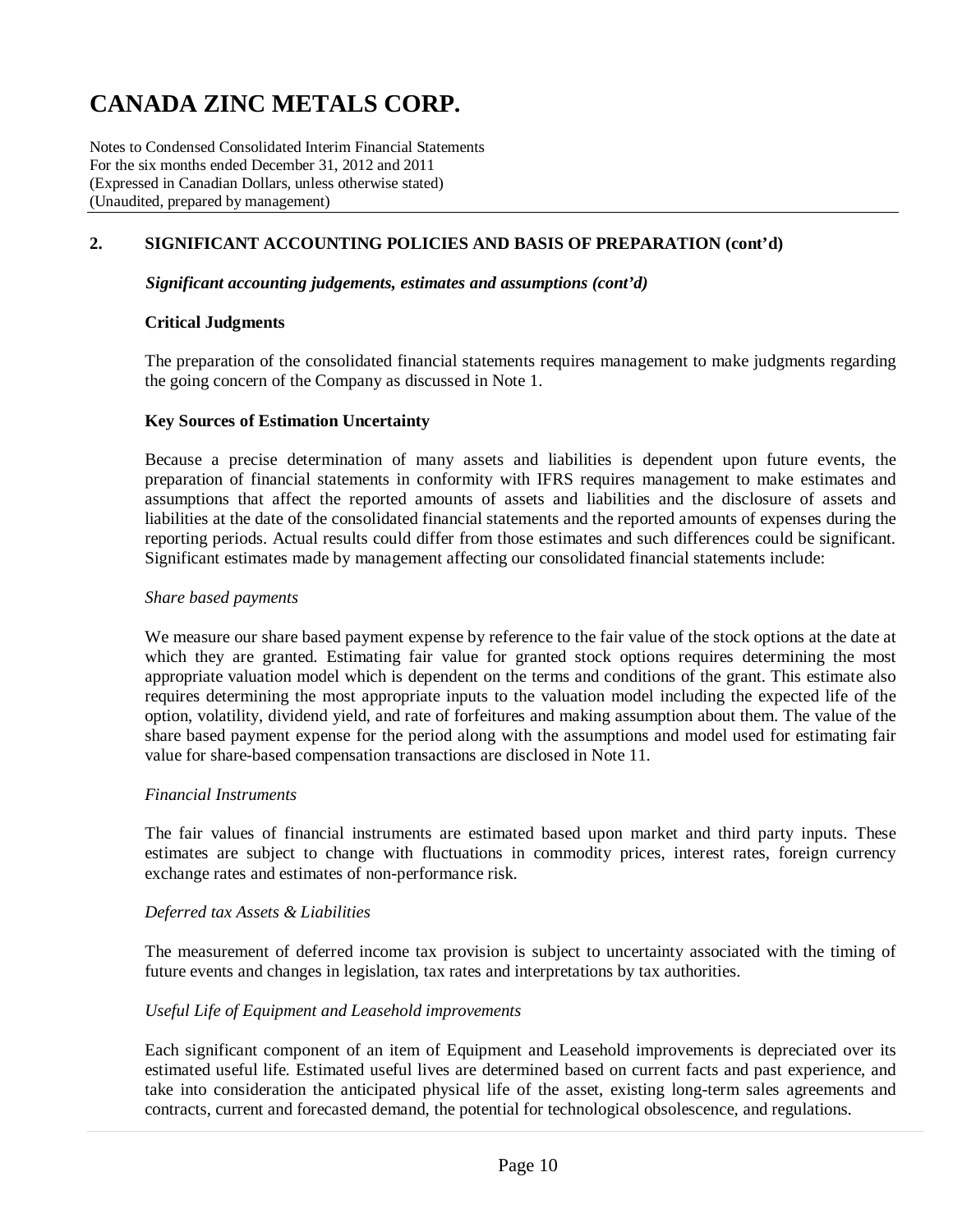Notes to Condensed Consolidated Interim Financial Statements For the six months ended December 31, 2012 and 2011 (Expressed in Canadian Dollars, unless otherwise stated) (Unaudited, prepared by management)

### **2. SIGNIFICANT ACCOUNTING POLICIES AND BASIS OF PREPARATION (cont'd)**

#### *Significant accounting judgements, estimates and assumptions (cont'd)*

#### **Critical Judgments**

The preparation of the consolidated financial statements requires management to make judgments regarding the going concern of the Company as discussed in Note 1.

#### **Key Sources of Estimation Uncertainty**

Because a precise determination of many assets and liabilities is dependent upon future events, the preparation of financial statements in conformity with IFRS requires management to make estimates and assumptions that affect the reported amounts of assets and liabilities and the disclosure of assets and liabilities at the date of the consolidated financial statements and the reported amounts of expenses during the reporting periods. Actual results could differ from those estimates and such differences could be significant. Significant estimates made by management affecting our consolidated financial statements include:

#### *Share based payments*

We measure our share based payment expense by reference to the fair value of the stock options at the date at which they are granted. Estimating fair value for granted stock options requires determining the most appropriate valuation model which is dependent on the terms and conditions of the grant. This estimate also requires determining the most appropriate inputs to the valuation model including the expected life of the option, volatility, dividend yield, and rate of forfeitures and making assumption about them. The value of the share based payment expense for the period along with the assumptions and model used for estimating fair value for share-based compensation transactions are disclosed in Note 11.

#### *Financial Instruments*

The fair values of financial instruments are estimated based upon market and third party inputs. These estimates are subject to change with fluctuations in commodity prices, interest rates, foreign currency exchange rates and estimates of non-performance risk.

#### *Deferred tax Assets & Liabilities*

The measurement of deferred income tax provision is subject to uncertainty associated with the timing of future events and changes in legislation, tax rates and interpretations by tax authorities.

#### *Useful Life of Equipment and Leasehold improvements*

Each significant component of an item of Equipment and Leasehold improvements is depreciated over its estimated useful life. Estimated useful lives are determined based on current facts and past experience, and take into consideration the anticipated physical life of the asset, existing long-term sales agreements and contracts, current and forecasted demand, the potential for technological obsolescence, and regulations.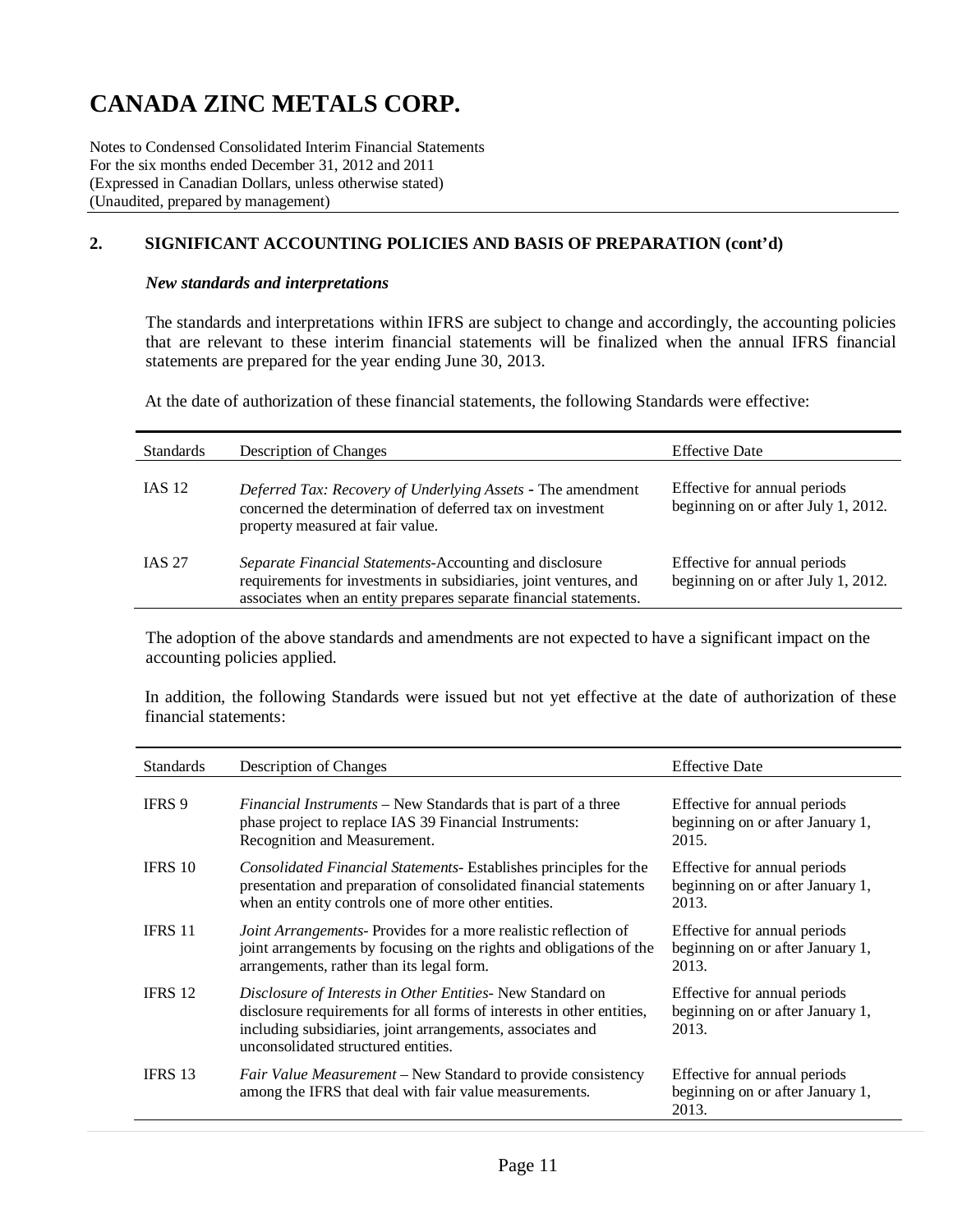Notes to Condensed Consolidated Interim Financial Statements For the six months ended December 31, 2012 and 2011 (Expressed in Canadian Dollars, unless otherwise stated) (Unaudited, prepared by management)

### **2. SIGNIFICANT ACCOUNTING POLICIES AND BASIS OF PREPARATION (cont'd)**

#### *New standards and interpretations*

The standards and interpretations within IFRS are subject to change and accordingly, the accounting policies that are relevant to these interim financial statements will be finalized when the annual IFRS financial statements are prepared for the year ending June 30, 2013.

At the date of authorization of these financial statements, the following Standards were effective:

| <b>Standards</b> | Description of Changes                                                                                                                                                                            | <b>Effective Date</b>                                               |
|------------------|---------------------------------------------------------------------------------------------------------------------------------------------------------------------------------------------------|---------------------------------------------------------------------|
| <b>IAS 12</b>    | Deferred Tax: Recovery of Underlying Assets - The amendment<br>concerned the determination of deferred tax on investment<br>property measured at fair value.                                      | Effective for annual periods<br>beginning on or after July 1, 2012. |
| <b>IAS 27</b>    | Separate Financial Statements-Accounting and disclosure<br>requirements for investments in subsidiaries, joint ventures, and<br>associates when an entity prepares separate financial statements. | Effective for annual periods<br>beginning on or after July 1, 2012. |

The adoption of the above standards and amendments are not expected to have a significant impact on the accounting policies applied.

In addition, the following Standards were issued but not yet effective at the date of authorization of these financial statements:

| <b>Standards</b> | Description of Changes                                                                                                                                                                                                                   | <b>Effective Date</b>                                                     |
|------------------|------------------------------------------------------------------------------------------------------------------------------------------------------------------------------------------------------------------------------------------|---------------------------------------------------------------------------|
| IFRS 9           | <i>Financial Instruments</i> – New Standards that is part of a three<br>phase project to replace IAS 39 Financial Instruments:<br>Recognition and Measurement.                                                                           | Effective for annual periods<br>beginning on or after January 1,<br>2015. |
| <b>IFRS 10</b>   | <i>Consolidated Financial Statements-</i> Establishes principles for the<br>presentation and preparation of consolidated financial statements<br>when an entity controls one of more other entities.                                     | Effective for annual periods<br>beginning on or after January 1,<br>2013. |
| <b>IFRS 11</b>   | <i>Joint Arrangements-Provides for a more realistic reflection of</i><br>joint arrangements by focusing on the rights and obligations of the<br>arrangements, rather than its legal form.                                                | Effective for annual periods<br>beginning on or after January 1,<br>2013. |
| IFRS 12          | Disclosure of Interests in Other Entities- New Standard on<br>disclosure requirements for all forms of interests in other entities,<br>including subsidiaries, joint arrangements, associates and<br>unconsolidated structured entities. | Effective for annual periods<br>beginning on or after January 1,<br>2013. |
| IFRS 13          | Fair Value Measurement – New Standard to provide consistency<br>among the IFRS that deal with fair value measurements.                                                                                                                   | Effective for annual periods<br>beginning on or after January 1,<br>2013. |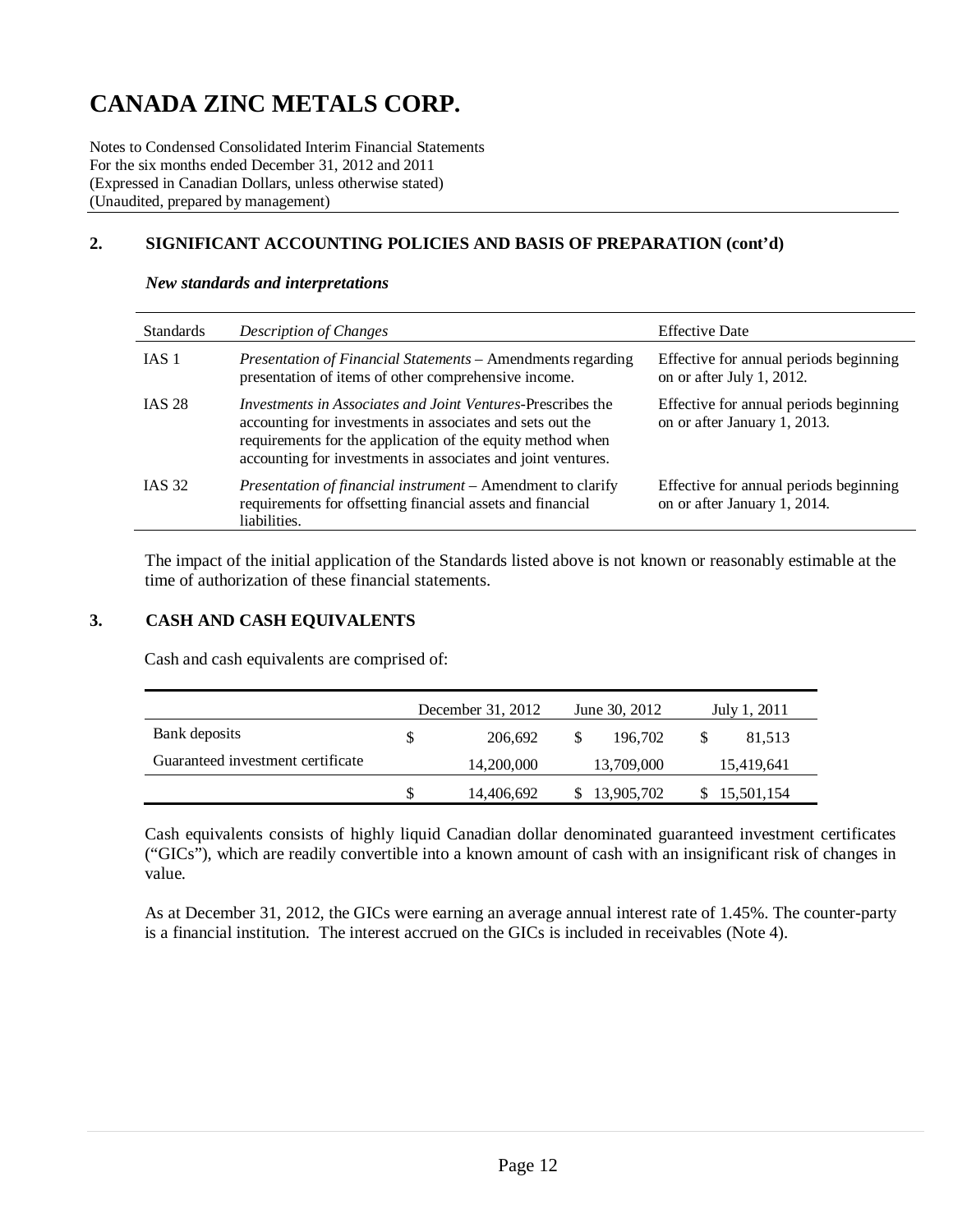Notes to Condensed Consolidated Interim Financial Statements For the six months ended December 31, 2012 and 2011 (Expressed in Canadian Dollars, unless otherwise stated) (Unaudited, prepared by management)

## **2. SIGNIFICANT ACCOUNTING POLICIES AND BASIS OF PREPARATION (cont'd)**

| <b>Standards</b> | Description of Changes                                                                                                                                                                                                                                        | <b>Effective Date</b>                                                  |
|------------------|---------------------------------------------------------------------------------------------------------------------------------------------------------------------------------------------------------------------------------------------------------------|------------------------------------------------------------------------|
| IAS 1            | Presentation of Financial Statements - Amendments regarding<br>presentation of items of other comprehensive income.                                                                                                                                           | Effective for annual periods beginning<br>on or after July 1, 2012.    |
| <b>IAS 28</b>    | <i>Investments in Associates and Joint Ventures-Prescribes the</i><br>accounting for investments in associates and sets out the<br>requirements for the application of the equity method when<br>accounting for investments in associates and joint ventures. | Effective for annual periods beginning<br>on or after January 1, 2013. |
| <b>IAS 32</b>    | <i>Presentation of financial instrument</i> – Amendment to clarify<br>requirements for offsetting financial assets and financial<br>liabilities.                                                                                                              | Effective for annual periods beginning<br>on or after January 1, 2014. |

#### *New standards and interpretations*

The impact of the initial application of the Standards listed above is not known or reasonably estimable at the time of authorization of these financial statements.

#### **3. CASH AND CASH EQUIVALENTS**

Cash and cash equivalents are comprised of:

|                                   | December 31, 2012 |            | June 30, 2012 | July 1, 2011 |            |  |
|-----------------------------------|-------------------|------------|---------------|--------------|------------|--|
| Bank deposits                     | \$.               | 206.692    | 196,702       |              | 81,513     |  |
| Guaranteed investment certificate |                   | 14,200,000 | 13,709,000    |              | 15,419,641 |  |
|                                   |                   | 14,406,692 | 13,905,702    |              | 15,501,154 |  |

Cash equivalents consists of highly liquid Canadian dollar denominated guaranteed investment certificates ("GICs"), which are readily convertible into a known amount of cash with an insignificant risk of changes in value.

As at December 31, 2012, the GICs were earning an average annual interest rate of 1.45%. The counter-party is a financial institution. The interest accrued on the GICs is included in receivables (Note 4).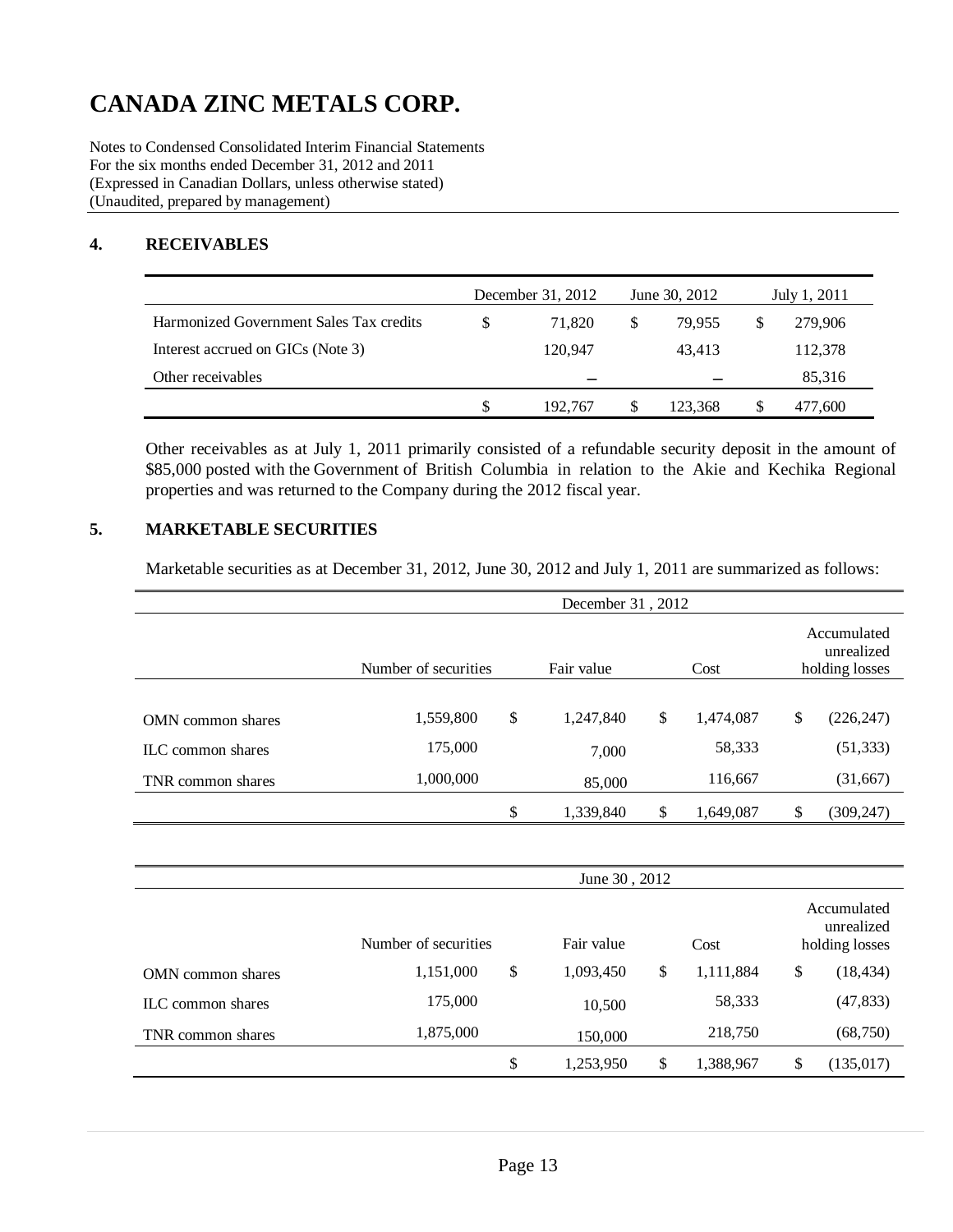Notes to Condensed Consolidated Interim Financial Statements For the six months ended December 31, 2012 and 2011 (Expressed in Canadian Dollars, unless otherwise stated) (Unaudited, prepared by management)

### **4. RECEIVABLES**

|                                         | December 31, 2012 |               | June 30, 2012 | July 1, 2011 |         |
|-----------------------------------------|-------------------|---------------|---------------|--------------|---------|
| Harmonized Government Sales Tax credits | 71.820            | <sup>\$</sup> | 79.955        |              | 279,906 |
| Interest accrued on GICs (Note 3)       | 120.947           |               | 43.413        |              | 112,378 |
| Other receivables                       | -                 |               |               |              | 85,316  |
|                                         | 192.767           |               | 123.368       |              | 477.600 |

Other receivables as at July 1, 2011 primarily consisted of a refundable security deposit in the amount of \$85,000 posted with the Government of British Columbia in relation to the Akie and Kechika Regional properties and was returned to the Company during the 2012 fiscal year.

### **5. MARKETABLE SECURITIES**

Marketable securities as at December 31, 2012, June 30, 2012 and July 1, 2011 are summarized as follows:

|                          | December 31, 2012    |    |            |    |           |    |                                             |  |  |  |
|--------------------------|----------------------|----|------------|----|-----------|----|---------------------------------------------|--|--|--|
|                          | Number of securities |    | Fair value |    | Cost      |    | Accumulated<br>unrealized<br>holding losses |  |  |  |
|                          |                      |    |            |    |           |    |                                             |  |  |  |
| <b>OMN</b> common shares | 1,559,800            | \$ | 1,247,840  | \$ | 1,474,087 | \$ | (226, 247)                                  |  |  |  |
| ILC common shares        | 175,000              |    | 7,000      |    | 58,333    |    | (51, 333)                                   |  |  |  |
| TNR common shares        | 1,000,000            |    | 85,000     |    | 116,667   |    | (31, 667)                                   |  |  |  |
|                          |                      | \$ | 1,339,840  | \$ | 1,649,087 | \$ | (309, 247)                                  |  |  |  |

|                   | June 30, 2012        |  |                    |   |           |    |                                             |  |  |
|-------------------|----------------------|--|--------------------|---|-----------|----|---------------------------------------------|--|--|
|                   | Number of securities |  | Fair value<br>Cost |   |           |    | Accumulated<br>unrealized<br>holding losses |  |  |
| OMN common shares | \$<br>1,151,000      |  | 1,093,450          | S | 1,111,884 | \$ | (18, 434)                                   |  |  |
| ILC common shares | 175,000              |  | 10,500             |   | 58,333    |    | (47, 833)                                   |  |  |
| TNR common shares | 1,875,000            |  | 150,000            |   | 218,750   |    | (68, 750)                                   |  |  |
|                   | \$                   |  | 1,253,950          | S | 1,388,967 | \$ | (135, 017)                                  |  |  |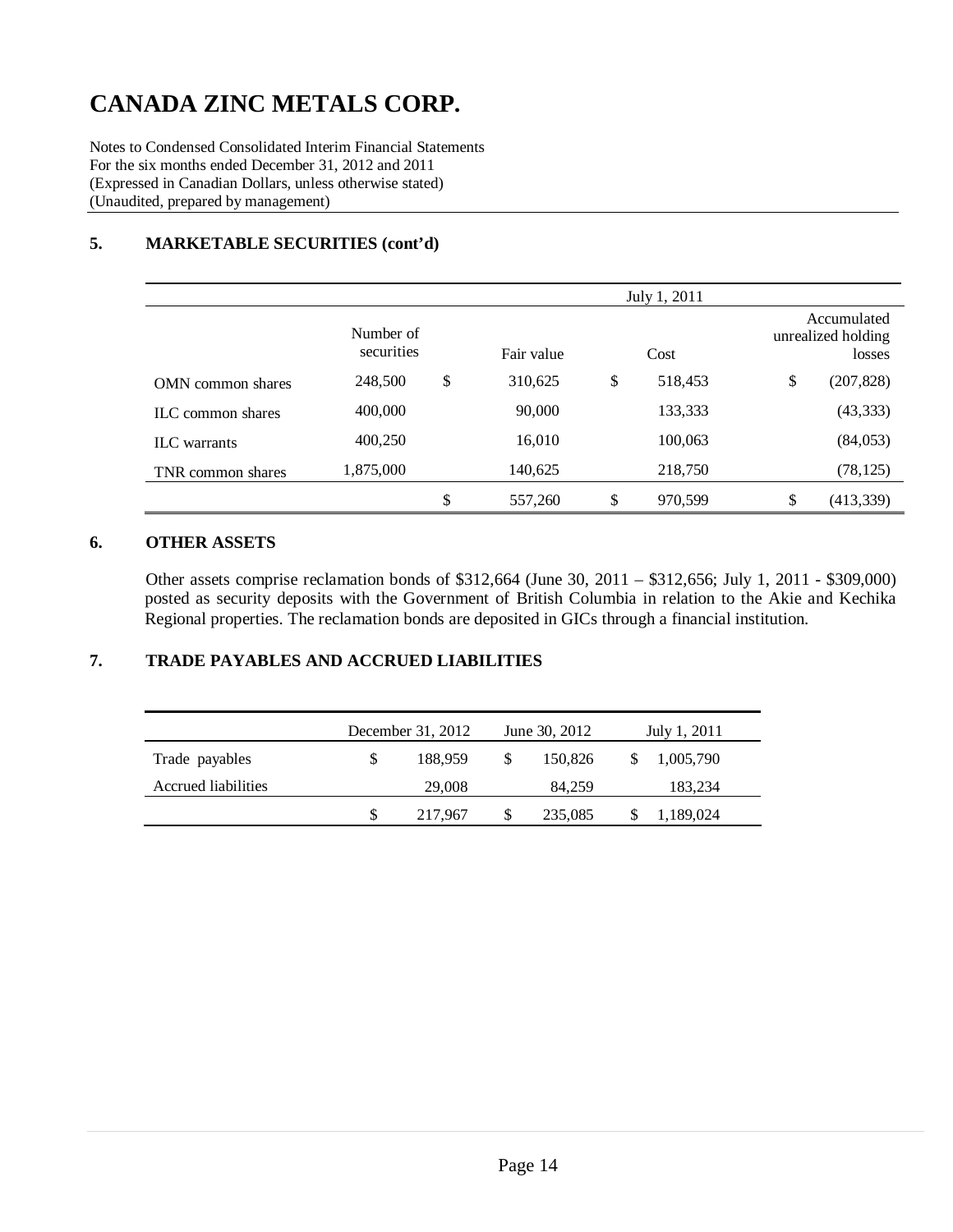Notes to Condensed Consolidated Interim Financial Statements For the six months ended December 31, 2012 and 2011 (Expressed in Canadian Dollars, unless otherwise stated) (Unaudited, prepared by management)

### **5. MARKETABLE SECURITIES (cont'd)**

|                          |                         |               | July 1, 2011  |                                             |
|--------------------------|-------------------------|---------------|---------------|---------------------------------------------|
|                          | Number of<br>securities | Fair value    | Cost          | Accumulated<br>unrealized holding<br>losses |
| <b>OMN</b> common shares | 248,500                 | \$<br>310,625 | \$<br>518,453 | \$<br>(207, 828)                            |
| ILC common shares        | 400,000                 | 90,000        | 133,333       | (43, 333)                                   |
| <b>ILC</b> warrants      | 400,250                 | 16,010        | 100,063       | (84,053)                                    |
| TNR common shares        | 1,875,000               | 140,625       | 218,750       | (78, 125)                                   |
|                          |                         | \$<br>557,260 | \$<br>970,599 | \$<br>(413, 339)                            |

#### **6. OTHER ASSETS**

Other assets comprise reclamation bonds of \$312,664 (June 30, 2011 – \$312,656; July 1, 2011 - \$309,000) posted as security deposits with the Government of British Columbia in relation to the Akie and Kechika Regional properties. The reclamation bonds are deposited in GICs through a financial institution.

### **7. TRADE PAYABLES AND ACCRUED LIABILITIES**

|                     |     | December 31, 2012 |               | June 30, 2012 | July 1, 2011 |  |
|---------------------|-----|-------------------|---------------|---------------|--------------|--|
| Trade payables      | \$. | 188,959           | <sup>\$</sup> | 150,826       | 1,005,790    |  |
| Accrued liabilities |     | 29,008            |               | 84.259        | 183,234      |  |
|                     |     | 217,967           | \$            | 235,085       | 1,189,024    |  |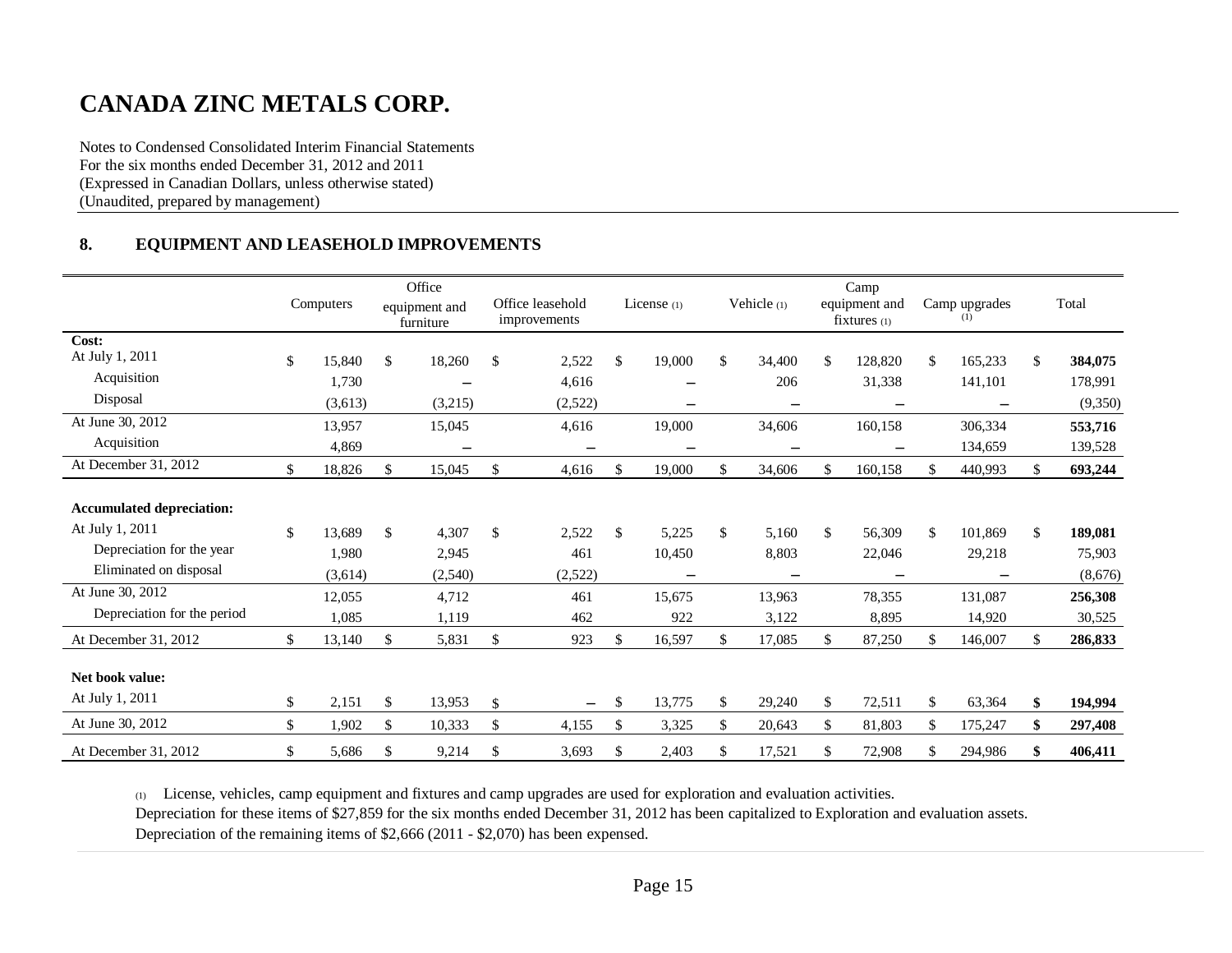Notes to Condensed Consolidated Interim Financial Statements For the six months ended December 31, 2012 and 2011 (Expressed in Canadian Dollars, unless otherwise stated) (Unaudited, prepared by management)

### **8. EQUIPMENT AND LEASEHOLD IMPROVEMENTS**

|                                  |              | Office                     |                                  |                          |              |              | Camp                              |     |                          |               |
|----------------------------------|--------------|----------------------------|----------------------------------|--------------------------|--------------|--------------|-----------------------------------|-----|--------------------------|---------------|
|                                  | Computers    | equipment and<br>furniture | Office leasehold<br>improvements | License $(1)$            | Vehicle (1)  |              | equipment and<br>$fixtures_{(1)}$ |     | Camp upgrades<br>(1)     | Total         |
| Cost:                            |              |                            |                                  |                          |              |              |                                   |     |                          |               |
| At July 1, 2011                  | \$<br>15,840 | \$<br>18,260               | \$<br>2,522                      | \$<br>19,000             | \$<br>34.400 | \$           | 128,820                           | \$. | 165,233                  | \$<br>384,075 |
| Acquisition                      | 1,730        |                            | 4,616                            |                          | 206          |              | 31,338                            |     | 141,101                  | 178,991       |
| Disposal                         | (3,613)      | (3,215)                    | (2,522)                          | —                        |              |              | $\overline{\phantom{m}}$          |     | $\overline{\phantom{0}}$ | (9,350)       |
| At June 30, 2012                 | 13,957       | 15,045                     | 4,616                            | 19,000                   | 34,606       |              | 160,158                           |     | 306,334                  | 553,716       |
| Acquisition                      | 4,869        |                            |                                  |                          |              |              |                                   |     | 134,659                  | 139,528       |
| At December 31, 2012             | \$<br>18,826 | \$<br>15,045               | \$<br>4,616                      | \$<br>19,000             | \$<br>34,606 |              | 160,158                           | \$  | 440,993                  | \$<br>693,244 |
|                                  |              |                            |                                  |                          |              |              |                                   |     |                          |               |
| <b>Accumulated depreciation:</b> |              |                            |                                  |                          |              |              |                                   |     |                          |               |
| At July 1, 2011                  | \$<br>13,689 | \$<br>4,307                | \$<br>2,522                      | \$<br>5,225              | \$<br>5.160  | $\mathbb{S}$ | 56,309                            | \$  | 101,869                  | \$<br>189,081 |
| Depreciation for the year        | 1,980        | 2,945                      | 461                              | 10,450                   | 8,803        |              | 22,046                            |     | 29,218                   | 75,903        |
| Eliminated on disposal           | (3,614)      | (2,540)                    | (2,522)                          | $\overline{\phantom{0}}$ |              |              | $\overline{\phantom{m}}$          |     |                          | (8,676)       |
| At June 30, 2012                 | 12,055       | 4,712                      | 461                              | 15,675                   | 13,963       |              | 78,355                            |     | 131,087                  | 256,308       |
| Depreciation for the period      | 1,085        | 1,119                      | 462                              | 922                      | 3,122        |              | 8,895                             |     | 14,920                   | 30,525        |
| At December 31, 2012             | \$<br>13,140 | \$<br>5,831                | \$<br>923                        | \$<br>16,597             | \$<br>17,085 | \$.          | 87,250                            | S.  | 146,007                  | \$<br>286,833 |
|                                  |              |                            |                                  |                          |              |              |                                   |     |                          |               |
| Net book value:                  |              |                            |                                  |                          |              |              |                                   |     |                          |               |
| At July 1, 2011                  | \$<br>2,151  | \$<br>13,953               | \$<br>$\overline{\phantom{m}}$   | \$<br>13,775             | \$<br>29,240 | \$           | 72,511                            | \$  | 63,364                   | \$<br>194,994 |
| At June 30, 2012                 | \$<br>1,902  | \$<br>10,333               | \$<br>4,155                      | \$<br>3,325              | \$<br>20,643 | \$           | 81,803                            | \$  | 175,247                  | \$<br>297,408 |
| At December 31, 2012             | \$<br>5,686  | \$<br>9,214                | \$<br>3,693                      | \$<br>2,403              | \$<br>17,521 | \$           | 72,908                            | \$  | 294,986                  | \$<br>406,411 |

(1) License, vehicles, camp equipment and fixtures and camp upgrades are used for exploration and evaluation activities.

Depreciation for these items of \$27,859 for the six months ended December 31, 2012 has been capitalized to Exploration and evaluation assets.

Depreciation of the remaining items of \$2,666 (2011 - \$2,070) has been expensed.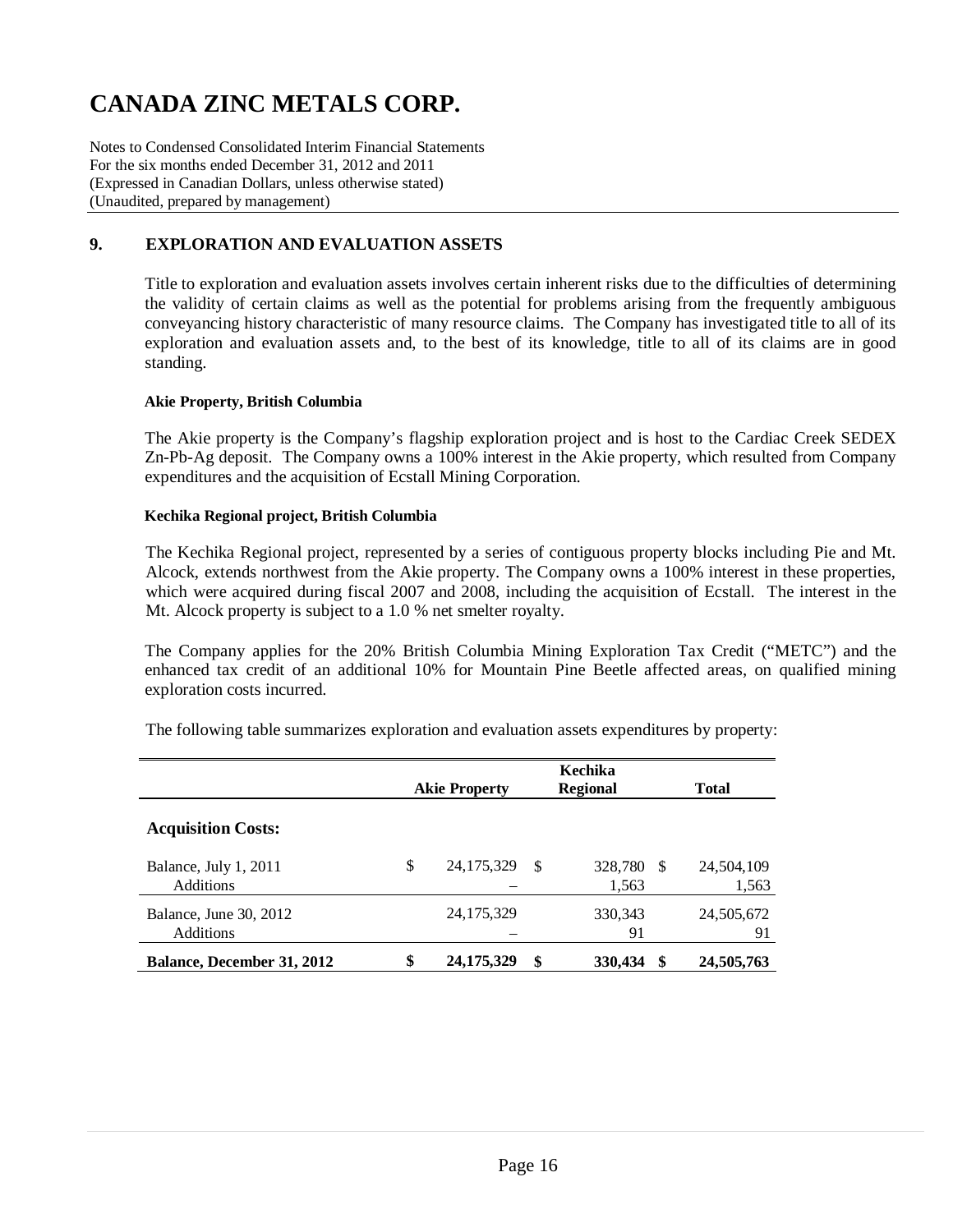Notes to Condensed Consolidated Interim Financial Statements For the six months ended December 31, 2012 and 2011 (Expressed in Canadian Dollars, unless otherwise stated) (Unaudited, prepared by management)

### **9. EXPLORATION AND EVALUATION ASSETS**

Title to exploration and evaluation assets involves certain inherent risks due to the difficulties of determining the validity of certain claims as well as the potential for problems arising from the frequently ambiguous conveyancing history characteristic of many resource claims. The Company has investigated title to all of its exploration and evaluation assets and, to the best of its knowledge, title to all of its claims are in good standing.

#### **Akie Property, British Columbia**

The Akie property is the Company's flagship exploration project and is host to the Cardiac Creek SEDEX Zn-Pb-Ag deposit. The Company owns a 100% interest in the Akie property, which resulted from Company expenditures and the acquisition of Ecstall Mining Corporation.

#### **Kechika Regional project, British Columbia**

The Kechika Regional project, represented by a series of contiguous property blocks including Pie and Mt. Alcock, extends northwest from the Akie property. The Company owns a 100% interest in these properties, which were acquired during fiscal 2007 and 2008, including the acquisition of Ecstall. The interest in the Mt. Alcock property is subject to a 1.0 % net smelter royalty.

The Company applies for the 20% British Columbia Mining Exploration Tax Credit ("METC") and the enhanced tax credit of an additional 10% for Mountain Pine Beetle affected areas, on qualified mining exploration costs incurred.

The following table summarizes exploration and evaluation assets expenditures by property:

|                                            | <b>Akie Property</b> |    | Kechika<br><b>Regional</b> |    | <b>Total</b>        |
|--------------------------------------------|----------------------|----|----------------------------|----|---------------------|
| <b>Acquisition Costs:</b>                  |                      |    |                            |    |                     |
| Balance, July 1, 2011<br><b>Additions</b>  | \$<br>24, 175, 329   | -S | 328,780<br>1,563           | -S | 24,504,109<br>1,563 |
| Balance, June 30, 2012<br><b>Additions</b> | 24, 175, 329         |    | 330, 343<br>91             |    | 24,505,672<br>91    |
| <b>Balance, December 31, 2012</b>          | \$<br>24, 175, 329   | \$ | 330,434                    | S  | 24,505,763          |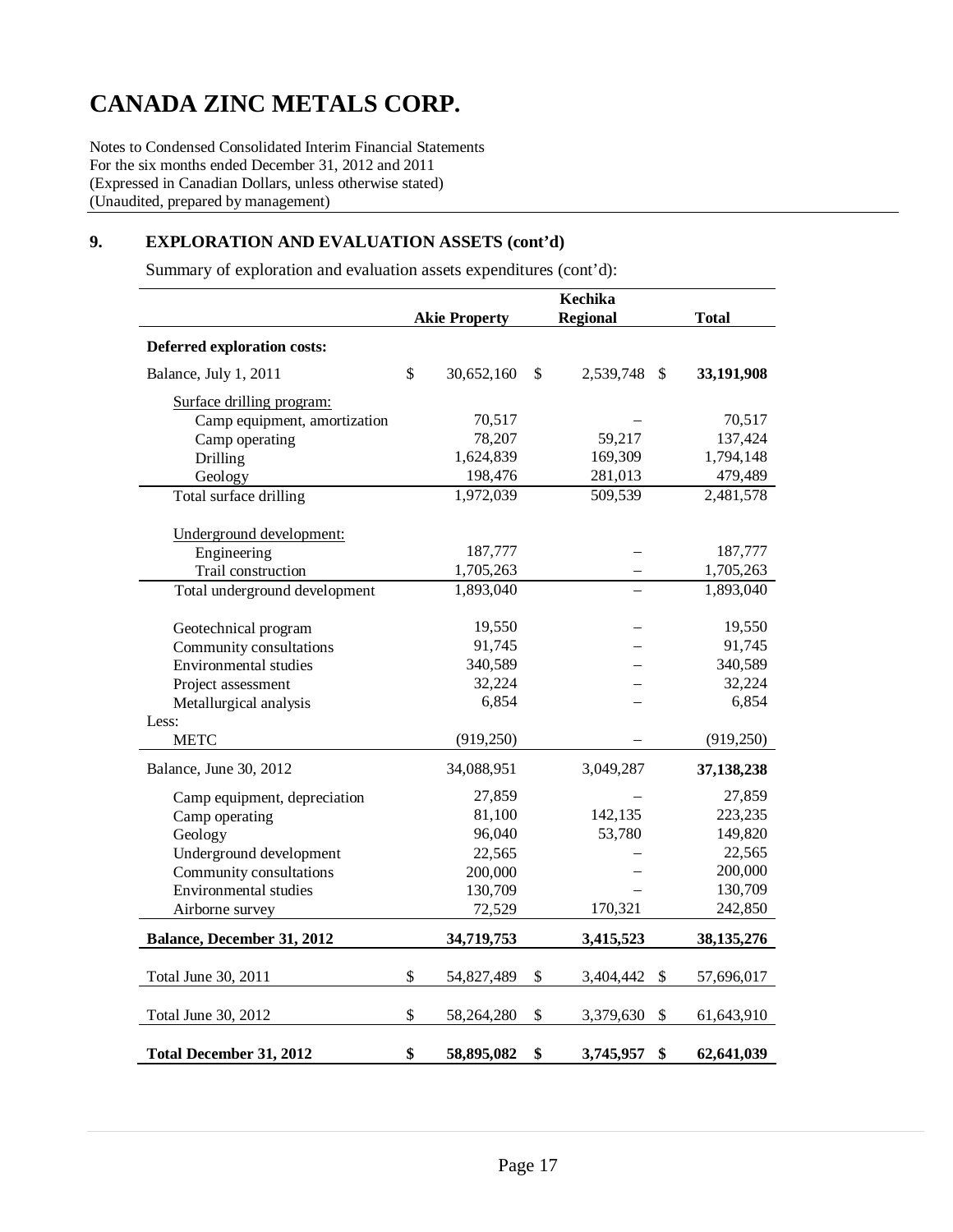Notes to Condensed Consolidated Interim Financial Statements For the six months ended December 31, 2012 and 2011 (Expressed in Canadian Dollars, unless otherwise stated) (Unaudited, prepared by management)

### **9. EXPLORATION AND EVALUATION ASSETS (cont'd)**

Summary of exploration and evaluation assets expenditures (cont'd):

|                                |                      | Kechika                          |              |
|--------------------------------|----------------------|----------------------------------|--------------|
|                                | <b>Akie Property</b> | <b>Regional</b>                  | <b>Total</b> |
| Deferred exploration costs:    |                      |                                  |              |
| Balance, July 1, 2011          | \$<br>30,652,160     | \$<br>2,539,748<br>$\mathcal{S}$ | 33,191,908   |
| Surface drilling program:      |                      |                                  |              |
| Camp equipment, amortization   | 70,517               |                                  | 70,517       |
| Camp operating                 | 78,207               | 59,217                           | 137,424      |
| Drilling                       | 1,624,839            | 169,309                          | 1,794,148    |
| Geology                        | 198,476              | 281,013                          | 479,489      |
| Total surface drilling         | 1,972,039            | 509,539                          | 2,481,578    |
| Underground development:       |                      |                                  |              |
| Engineering                    | 187,777              |                                  | 187,777      |
| Trail construction             | 1,705,263            |                                  | 1,705,263    |
| Total underground development  | 1,893,040            |                                  | 1,893,040    |
| Geotechnical program           | 19,550               |                                  | 19,550       |
| Community consultations        | 91,745               |                                  | 91,745       |
| Environmental studies          | 340,589              |                                  | 340,589      |
| Project assessment             | 32,224               |                                  | 32,224       |
| Metallurgical analysis         | 6,854                |                                  | 6,854        |
| Less:                          |                      |                                  |              |
| <b>METC</b>                    | (919, 250)           |                                  | (919, 250)   |
| Balance, June 30, 2012         | 34,088,951           | 3,049,287                        | 37,138,238   |
| Camp equipment, depreciation   | 27,859               |                                  | 27,859       |
| Camp operating                 | 81,100               | 142,135                          | 223,235      |
| Geology                        | 96,040               | 53,780                           | 149,820      |
| Underground development        | 22,565               |                                  | 22,565       |
| Community consultations        | 200,000              |                                  | 200,000      |
| <b>Environmental studies</b>   | 130,709              |                                  | 130,709      |
| Airborne survey                | 72,529               | 170,321                          | 242,850      |
| Balance, December 31, 2012     | 34,719,753           | 3,415,523                        | 38, 135, 276 |
| Total June 30, 2011            | \$<br>54,827,489     | \$<br>3,404,442<br>-S            | 57,696,017   |
|                                |                      |                                  |              |
| Total June 30, 2012            | \$<br>58,264,280     | \$<br>\$<br>3,379,630            | 61,643,910   |
| <b>Total December 31, 2012</b> | \$<br>58,895,082     | \$<br>\$<br>3,745,957            | 62,641,039   |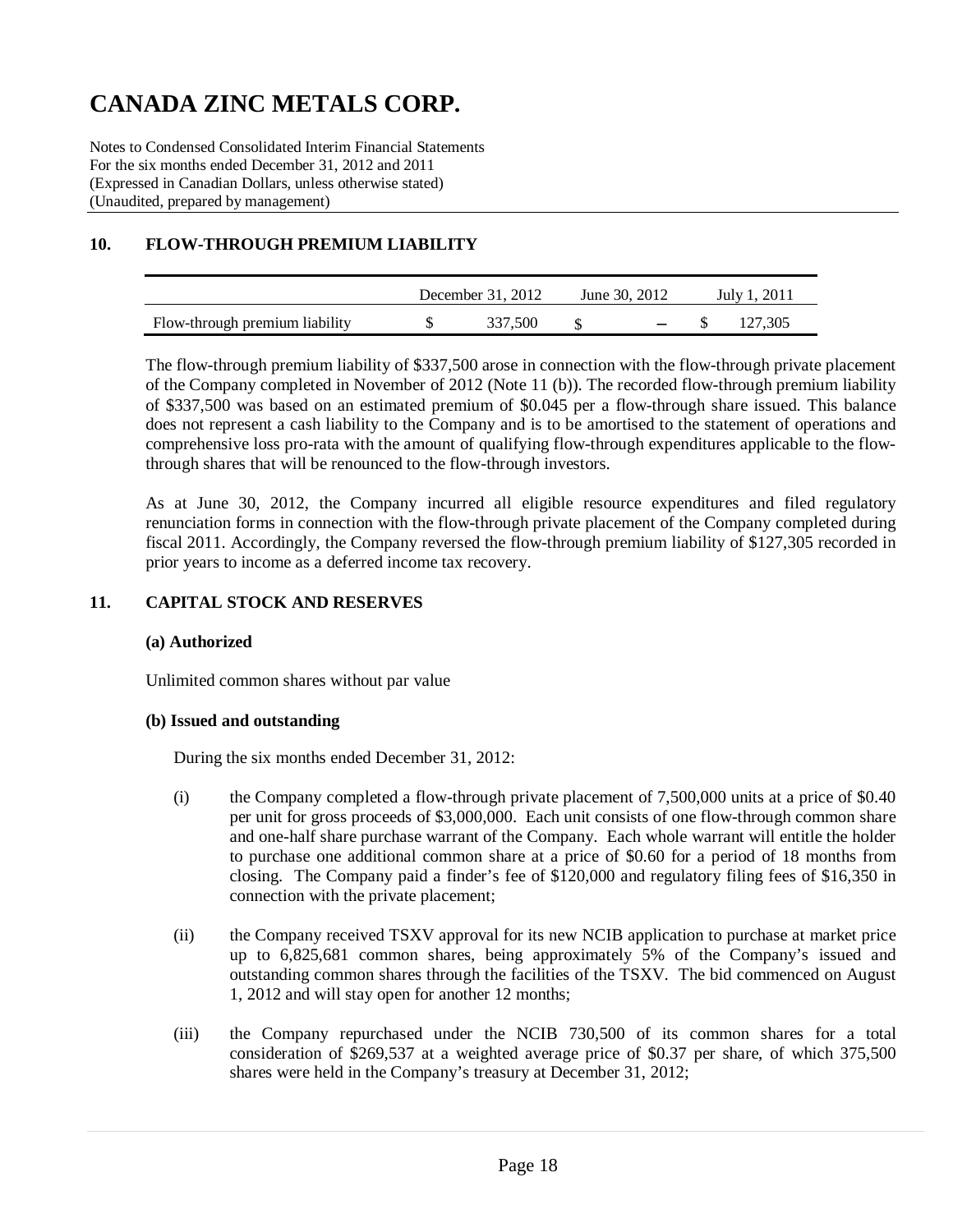Notes to Condensed Consolidated Interim Financial Statements For the six months ended December 31, 2012 and 2011 (Expressed in Canadian Dollars, unless otherwise stated) (Unaudited, prepared by management)

## **10. FLOW-THROUGH PREMIUM LIABILITY**

|                                | December $31, 2012$ | June 30, 2012     | July 1, 2011 |         |  |
|--------------------------------|---------------------|-------------------|--------------|---------|--|
| Flow-through premium liability | 337.500             | $\sim$ 100 $\sim$ |              | 127.305 |  |

The flow-through premium liability of \$337,500 arose in connection with the flow-through private placement of the Company completed in November of 2012 (Note 11 (b)). The recorded flow-through premium liability of \$337,500 was based on an estimated premium of \$0.045 per a flow-through share issued. This balance does not represent a cash liability to the Company and is to be amortised to the statement of operations and comprehensive loss pro-rata with the amount of qualifying flow-through expenditures applicable to the flowthrough shares that will be renounced to the flow-through investors.

As at June 30, 2012, the Company incurred all eligible resource expenditures and filed regulatory renunciation forms in connection with the flow-through private placement of the Company completed during fiscal 2011. Accordingly, the Company reversed the flow-through premium liability of \$127,305 recorded in prior years to income as a deferred income tax recovery.

### **11. CAPITAL STOCK AND RESERVES**

#### **(a) Authorized**

Unlimited common shares without par value

#### **(b) Issued and outstanding**

During the six months ended December 31, 2012:

- (i) the Company completed a flow-through private placement of 7,500,000 units at a price of \$0.40 per unit for gross proceeds of \$3,000,000. Each unit consists of one flow-through common share and one-half share purchase warrant of the Company. Each whole warrant will entitle the holder to purchase one additional common share at a price of \$0.60 for a period of 18 months from closing. The Company paid a finder's fee of \$120,000 and regulatory filing fees of \$16,350 in connection with the private placement;
- (ii) the Company received TSXV approval for its new NCIB application to purchase at market price up to 6,825,681 common shares, being approximately 5% of the Company's issued and outstanding common shares through the facilities of the TSXV. The bid commenced on August 1, 2012 and will stay open for another 12 months;
- (iii) the Company repurchased under the NCIB 730,500 of its common shares for a total consideration of \$269,537 at a weighted average price of \$0.37 per share, of which 375,500 shares were held in the Company's treasury at December 31, 2012;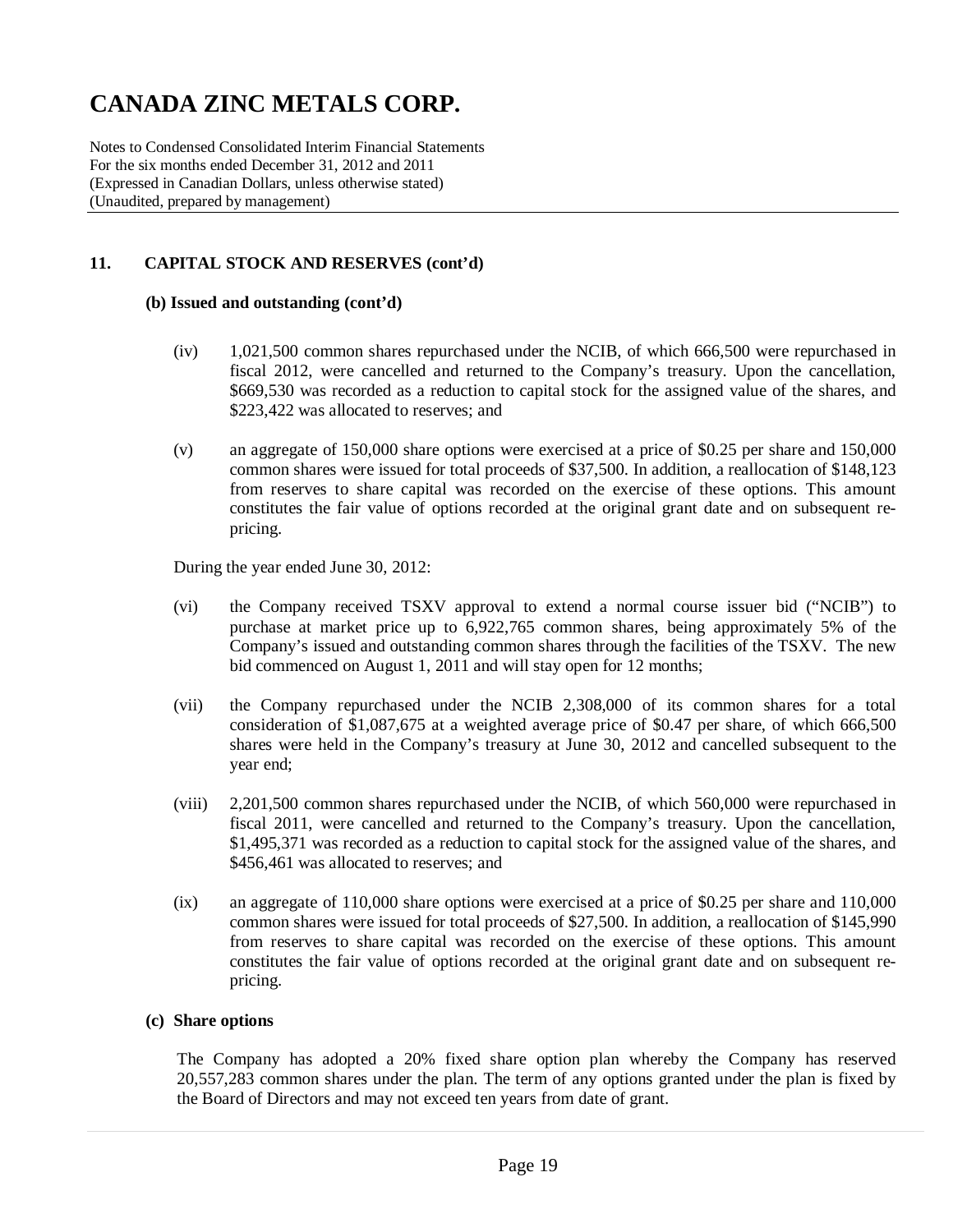Notes to Condensed Consolidated Interim Financial Statements For the six months ended December 31, 2012 and 2011 (Expressed in Canadian Dollars, unless otherwise stated) (Unaudited, prepared by management)

### **11. CAPITAL STOCK AND RESERVES (cont'd)**

#### **(b) Issued and outstanding (cont'd)**

- (iv) 1,021,500 common shares repurchased under the NCIB, of which 666,500 were repurchased in fiscal 2012, were cancelled and returned to the Company's treasury. Upon the cancellation, \$669,530 was recorded as a reduction to capital stock for the assigned value of the shares, and \$223,422 was allocated to reserves; and
- (v) an aggregate of 150,000 share options were exercised at a price of \$0.25 per share and 150,000 common shares were issued for total proceeds of \$37,500. In addition, a reallocation of \$148,123 from reserves to share capital was recorded on the exercise of these options. This amount constitutes the fair value of options recorded at the original grant date and on subsequent repricing.

During the year ended June 30, 2012:

- (vi) the Company received TSXV approval to extend a normal course issuer bid ("NCIB") to purchase at market price up to 6,922,765 common shares, being approximately 5% of the Company's issued and outstanding common shares through the facilities of the TSXV. The new bid commenced on August 1, 2011 and will stay open for 12 months;
- (vii) the Company repurchased under the NCIB 2,308,000 of its common shares for a total consideration of \$1,087,675 at a weighted average price of \$0.47 per share, of which 666,500 shares were held in the Company's treasury at June 30, 2012 and cancelled subsequent to the year end;
- (viii) 2,201,500 common shares repurchased under the NCIB, of which 560,000 were repurchased in fiscal 2011, were cancelled and returned to the Company's treasury. Upon the cancellation, \$1,495,371 was recorded as a reduction to capital stock for the assigned value of the shares, and \$456,461 was allocated to reserves; and
- (ix) an aggregate of 110,000 share options were exercised at a price of \$0.25 per share and 110,000 common shares were issued for total proceeds of \$27,500. In addition, a reallocation of \$145,990 from reserves to share capital was recorded on the exercise of these options. This amount constitutes the fair value of options recorded at the original grant date and on subsequent repricing.

#### **(c) Share options**

The Company has adopted a 20% fixed share option plan whereby the Company has reserved 20,557,283 common shares under the plan. The term of any options granted under the plan is fixed by the Board of Directors and may not exceed ten years from date of grant.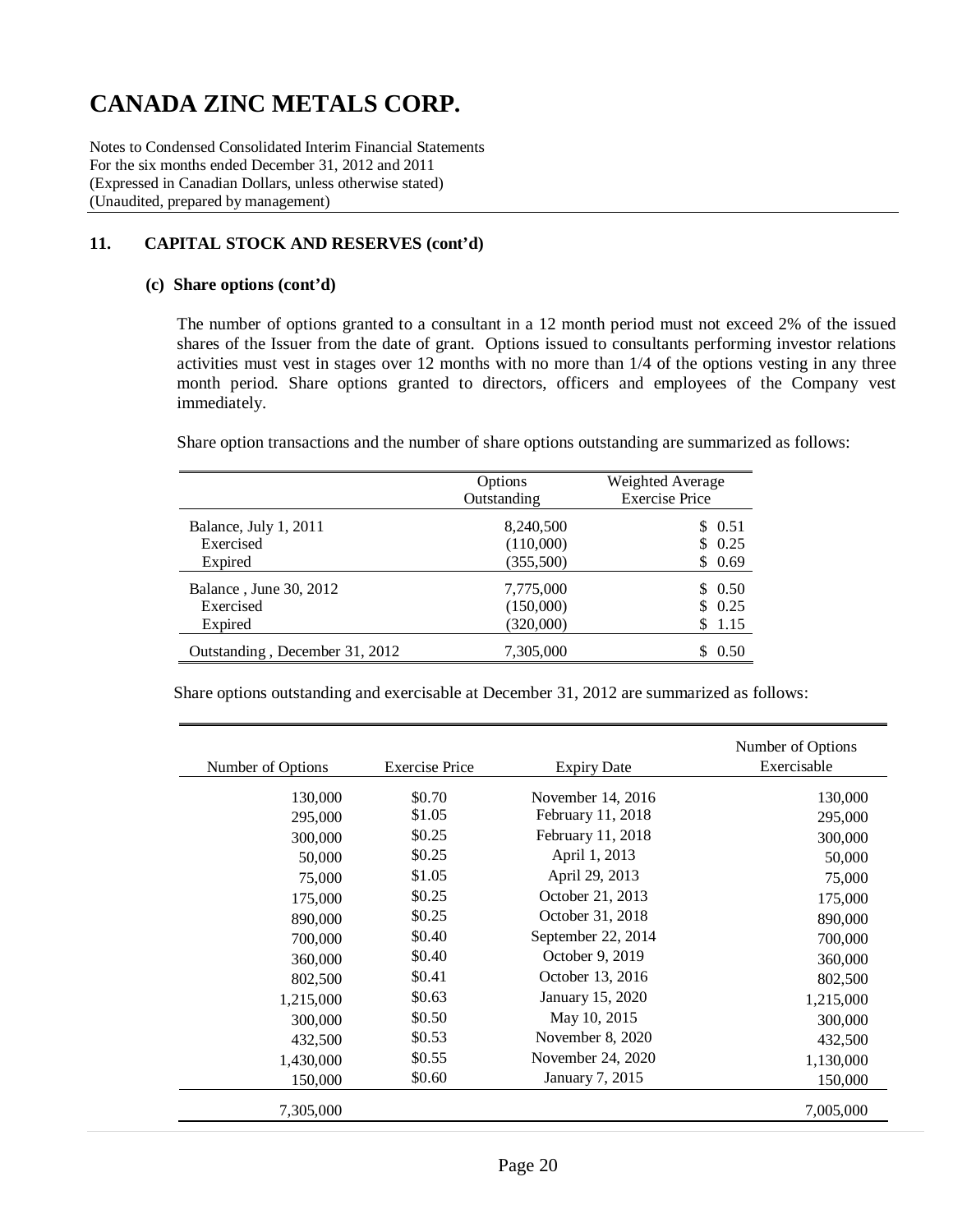Notes to Condensed Consolidated Interim Financial Statements For the six months ended December 31, 2012 and 2011 (Expressed in Canadian Dollars, unless otherwise stated) (Unaudited, prepared by management)

### **11. CAPITAL STOCK AND RESERVES (cont'd)**

#### **(c) Share options (cont'd)**

The number of options granted to a consultant in a 12 month period must not exceed 2% of the issued shares of the Issuer from the date of grant. Options issued to consultants performing investor relations activities must vest in stages over 12 months with no more than 1/4 of the options vesting in any three month period. Share options granted to directors, officers and employees of the Company vest immediately.

Share option transactions and the number of share options outstanding are summarized as follows:

|                                | Options<br>Outstanding | Weighted Average<br><b>Exercise Price</b> |
|--------------------------------|------------------------|-------------------------------------------|
| Balance, July 1, 2011          | 8,240,500              | \$ 0.51                                   |
| Exercised                      | (110,000)              | \$0.25                                    |
| Expired                        | (355,500)              | \$0.69                                    |
| Balance, June 30, 2012         | 7,775,000              | \$0.50                                    |
| Exercised                      | (150,000)              | \$0.25                                    |
| Expired                        | (320,000)              | \$1.15                                    |
| Outstanding, December 31, 2012 | 7,305,000              | 0.50                                      |

Share options outstanding and exercisable at December 31, 2012 are summarized as follows:

| Number of Options | <b>Exercise Price</b> | <b>Expiry Date</b> | Number of Options<br>Exercisable |
|-------------------|-----------------------|--------------------|----------------------------------|
| 130,000           | \$0.70                | November 14, 2016  | 130,000                          |
|                   | \$1.05                | February 11, 2018  |                                  |
| 295,000           | \$0.25                | February 11, 2018  | 295,000                          |
| 300,000           |                       |                    | 300,000                          |
| 50,000            | \$0.25                | April 1, 2013      | 50,000                           |
| 75,000            | \$1.05                | April 29, 2013     | 75,000                           |
| 175,000           | \$0.25                | October 21, 2013   | 175,000                          |
| 890,000           | \$0.25                | October 31, 2018   | 890,000                          |
| 700,000           | \$0.40                | September 22, 2014 | 700,000                          |
| 360,000           | \$0.40                | October 9, 2019    | 360,000                          |
| 802,500           | \$0.41                | October 13, 2016   | 802,500                          |
| 1,215,000         | \$0.63                | January 15, 2020   | 1,215,000                        |
| 300,000           | \$0.50                | May 10, 2015       | 300,000                          |
| 432,500           | \$0.53                | November 8, 2020   | 432,500                          |
| 1,430,000         | \$0.55                | November 24, 2020  | 1,130,000                        |
| 150,000           | \$0.60                | January 7, 2015    | 150,000                          |
| 7,305,000         |                       |                    | 7,005,000                        |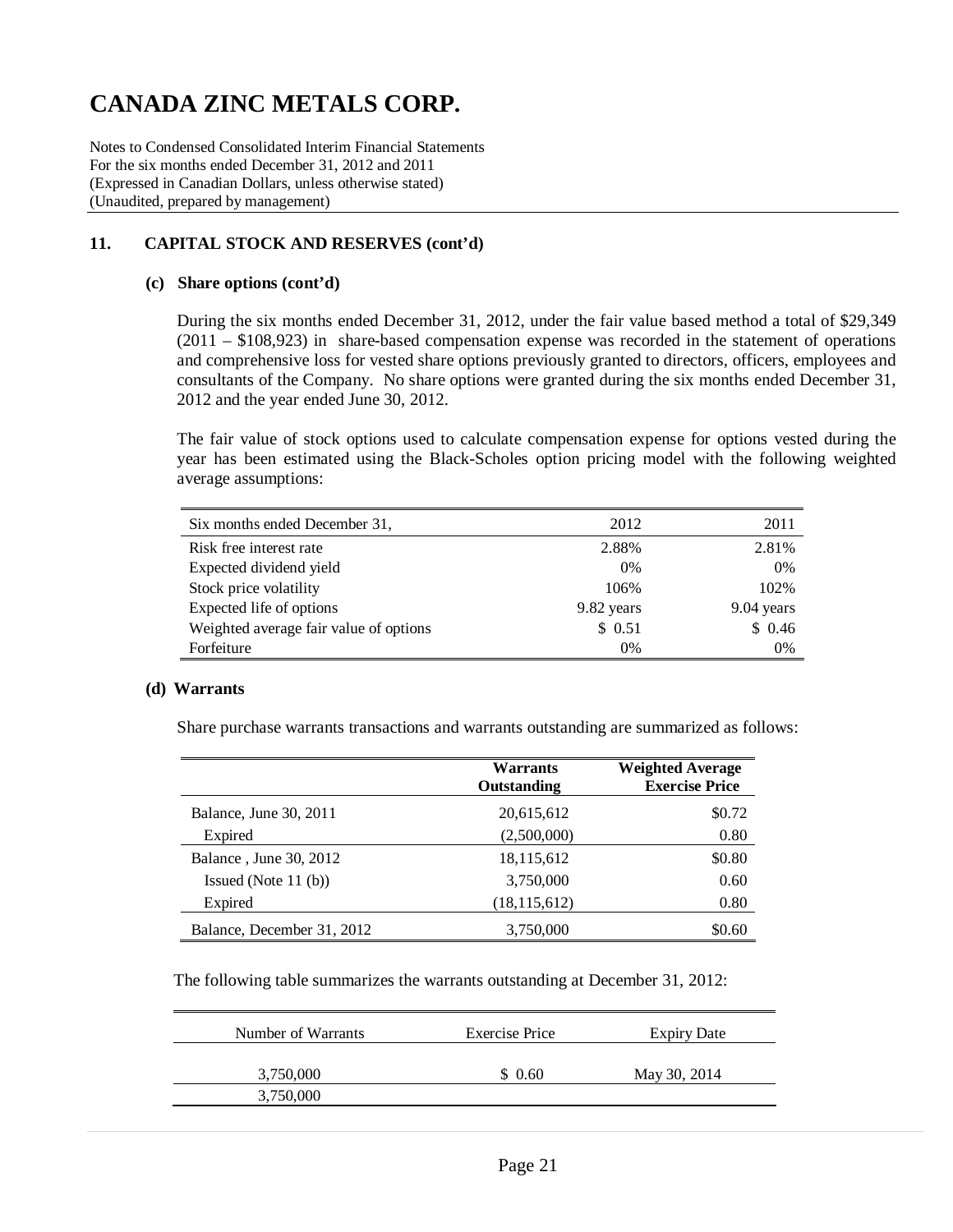Notes to Condensed Consolidated Interim Financial Statements For the six months ended December 31, 2012 and 2011 (Expressed in Canadian Dollars, unless otherwise stated) (Unaudited, prepared by management)

### **11. CAPITAL STOCK AND RESERVES (cont'd)**

#### **(c) Share options (cont'd)**

During the six months ended December 31, 2012, under the fair value based method a total of \$29,349 (2011 – \$108,923) in share-based compensation expense was recorded in the statement of operations and comprehensive loss for vested share options previously granted to directors, officers, employees and consultants of the Company. No share options were granted during the six months ended December 31, 2012 and the year ended June 30, 2012.

The fair value of stock options used to calculate compensation expense for options vested during the year has been estimated using the Black-Scholes option pricing model with the following weighted average assumptions:

| Six months ended December 31,          | 2012       | 2011       |
|----------------------------------------|------------|------------|
| Risk free interest rate                | 2.88%      | 2.81%      |
| Expected dividend yield                | 0%         | 0%         |
| Stock price volatility                 | 106%       | 102%       |
| Expected life of options               | 9.82 years | 9.04 years |
| Weighted average fair value of options | \$0.51     | \$0.46     |
| Forfeiture                             | 0%         | 0%         |

#### **(d) Warrants**

Share purchase warrants transactions and warrants outstanding are summarized as follows:

|                            | Warrants<br>Outstanding | <b>Weighted Average</b><br><b>Exercise Price</b> |
|----------------------------|-------------------------|--------------------------------------------------|
| Balance, June 30, 2011     | 20,615,612              | \$0.72                                           |
| Expired                    | (2,500,000)             | 0.80                                             |
| Balance, June 30, 2012     | 18,115,612              | \$0.80                                           |
| Issued (Note $11$ (b))     | 3,750,000               | 0.60                                             |
| Expired                    | (18, 115, 612)          | 0.80                                             |
| Balance, December 31, 2012 | 3,750,000               | \$0.60                                           |

The following table summarizes the warrants outstanding at December 31, 2012:

| Number of Warrants | Exercise Price | <b>Expiry Date</b> |
|--------------------|----------------|--------------------|
| 3,750,000          | \$0.60         | May 30, 2014       |
| 3,750,000          |                |                    |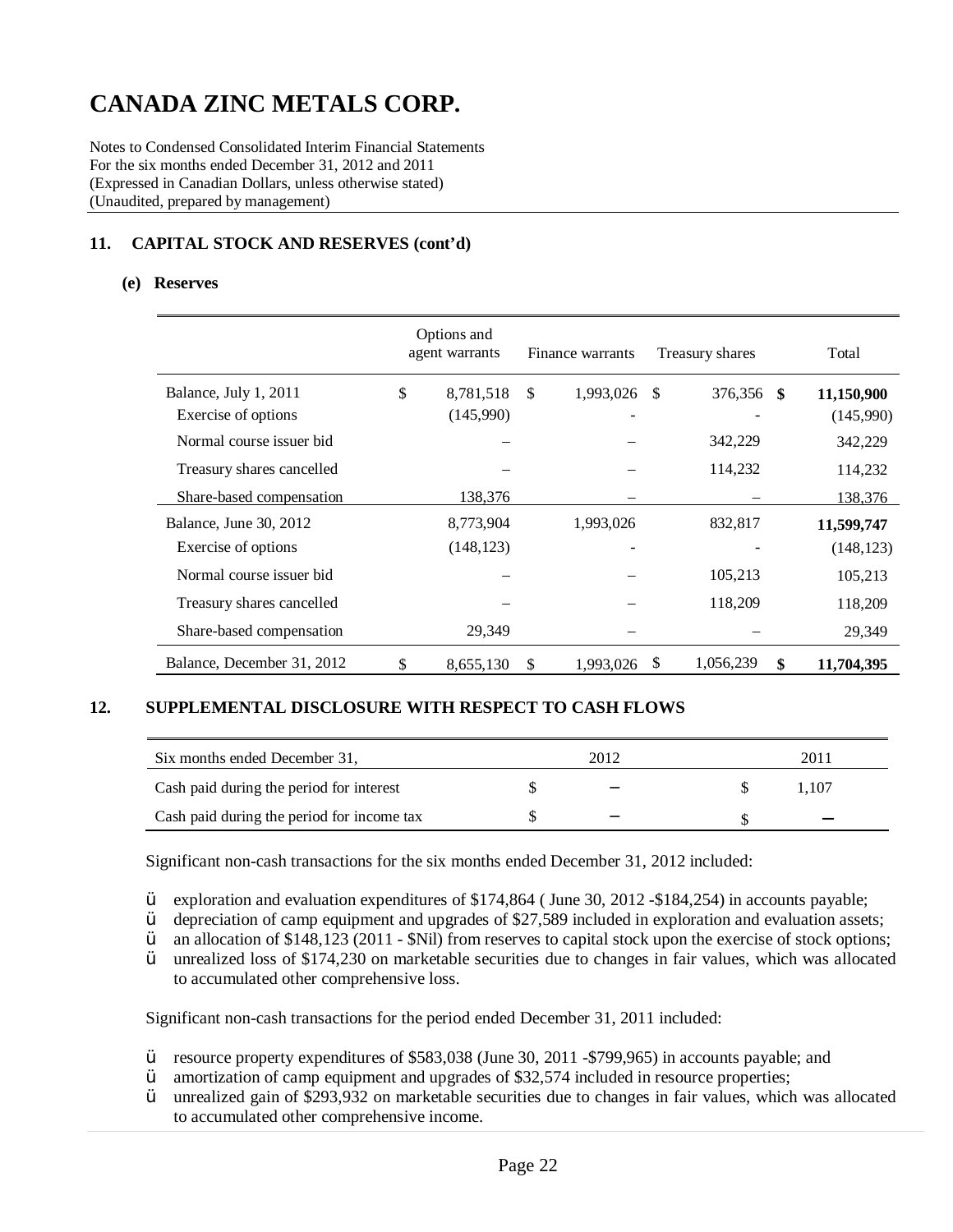Notes to Condensed Consolidated Interim Financial Statements For the six months ended December 31, 2012 and 2011 (Expressed in Canadian Dollars, unless otherwise stated) (Unaudited, prepared by management)

### **11. CAPITAL STOCK AND RESERVES (cont'd)**

#### **(e) Reserves**

|                            | Options and<br>agent warrants |               | Finance warrants |    | Treasury shares | Total      |
|----------------------------|-------------------------------|---------------|------------------|----|-----------------|------------|
| Balance, July 1, 2011      | \$<br>8,781,518               | $\mathbb{S}$  | 1,993,026        | -S | 376,356<br>- \$ | 11,150,900 |
| Exercise of options        | (145,990)                     |               |                  |    |                 | (145,990)  |
| Normal course issuer bid   |                               |               |                  |    | 342,229         | 342,229    |
| Treasury shares cancelled  |                               |               |                  |    | 114,232         | 114,232    |
| Share-based compensation   | 138,376                       |               |                  |    |                 | 138,376    |
| Balance, June 30, 2012     | 8,773,904                     |               | 1,993,026        |    | 832,817         | 11,599,747 |
| Exercise of options        | (148, 123)                    |               |                  |    |                 | (148, 123) |
| Normal course issuer bid   |                               |               |                  |    | 105,213         | 105,213    |
| Treasury shares cancelled  |                               |               |                  |    | 118,209         | 118,209    |
| Share-based compensation   | 29,349                        |               |                  |    |                 | 29,349     |
| Balance, December 31, 2012 | \$<br>8,655,130               | <sup>\$</sup> | 1,993,026        | \$ | 1,056,239<br>\$ | 11,704,395 |

#### **12. SUPPLEMENTAL DISCLOSURE WITH RESPECT TO CASH FLOWS**

| Six months ended December 31,              | 2012                     | 201  |  |
|--------------------------------------------|--------------------------|------|--|
| Cash paid during the period for interest   | $\overline{\phantom{a}}$ | .107 |  |
| Cash paid during the period for income tax |                          |      |  |

Significant non-cash transactions for the six months ended December 31, 2012 included:

 $\ddot{Y}$  exploration and evaluation expenditures of \$174,864 ( June 30, 2012 -\$184,254) in accounts payable;<br> $\ddot{Y}$  depreciation of camp equipment and upgrades of \$27,589 included in exploration and evaluation asset

 $\ddot{Y}$  depreciation of camp equipment and upgrades of \$27,589 included in exploration and evaluation assets;<br> $\ddot{Y}$  an allocation of \$148,123 (2011 - \$Nil) from reserves to capital stock upon the exercise of stock opt

 $\ddot{Y}$  an allocation of \$148,123 (2011 - \$Nil) from reserves to capital stock upon the exercise of stock options;<br> $\ddot{Y}$  unrealized loss of \$174.230 on marketable securities due to changes in fair values, which was al

unrealized loss of \$174,230 on marketable securities due to changes in fair values, which was allocated to accumulated other comprehensive loss.

Significant non-cash transactions for the period ended December 31, 2011 included:

- Ÿ resource property expenditures of \$583,038 (June 30, 2011 -\$799,965) in accounts payable; and
- $\ddot{Y}$  amortization of camp equipment and upgrades of \$32,574 included in resource properties;
- Ÿ unrealized gain of \$293,932 on marketable securities due to changes in fair values, which was allocated to accumulated other comprehensive income.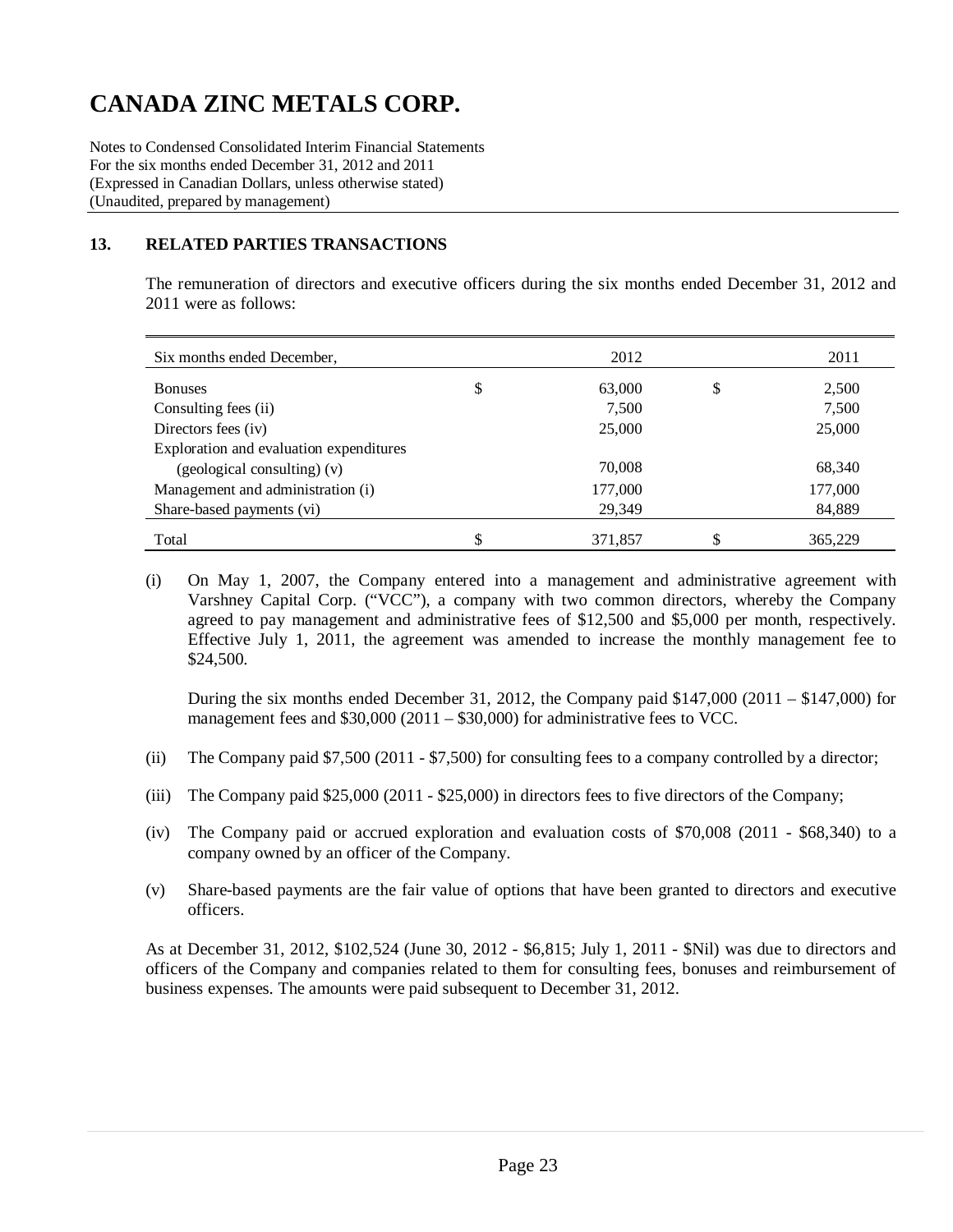Notes to Condensed Consolidated Interim Financial Statements For the six months ended December 31, 2012 and 2011 (Expressed in Canadian Dollars, unless otherwise stated) (Unaudited, prepared by management)

### **13. RELATED PARTIES TRANSACTIONS**

The remuneration of directors and executive officers during the six months ended December 31, 2012 and 2011 were as follows:

| Six months ended December,              | 2012         |   | 2011    |
|-----------------------------------------|--------------|---|---------|
| <b>Bonuses</b>                          | \$<br>63,000 | S | 2,500   |
| Consulting fees (ii)                    | 7,500        |   | 7,500   |
| Directors fees (iv)                     | 25,000       |   | 25,000  |
| Exploration and evaluation expenditures |              |   |         |
| (geological consulting) (v)             | 70,008       |   | 68,340  |
| Management and administration (i)       | 177,000      |   | 177,000 |
| Share-based payments (vi)               | 29,349       |   | 84,889  |
| Total                                   | 371,857      |   | 365,229 |

(i) On May 1, 2007, the Company entered into a management and administrative agreement with Varshney Capital Corp. ("VCC"), a company with two common directors, whereby the Company agreed to pay management and administrative fees of \$12,500 and \$5,000 per month, respectively. Effective July 1, 2011, the agreement was amended to increase the monthly management fee to \$24,500.

During the six months ended December 31, 2012, the Company paid  $$147,000$  (2011 –  $$147,000$ ) for management fees and \$30,000 (2011 – \$30,000) for administrative fees to VCC.

- (ii) The Company paid \$7,500 (2011 \$7,500) for consulting fees to a company controlled by a director;
- (iii) The Company paid \$25,000 (2011 \$25,000) in directors fees to five directors of the Company;
- (iv) The Company paid or accrued exploration and evaluation costs of \$70,008 (2011 \$68,340) to a company owned by an officer of the Company.
- (v) Share-based payments are the fair value of options that have been granted to directors and executive officers.

As at December 31, 2012, \$102,524 (June 30, 2012 - \$6,815; July 1, 2011 - \$Nil) was due to directors and officers of the Company and companies related to them for consulting fees, bonuses and reimbursement of business expenses. The amounts were paid subsequent to December 31, 2012.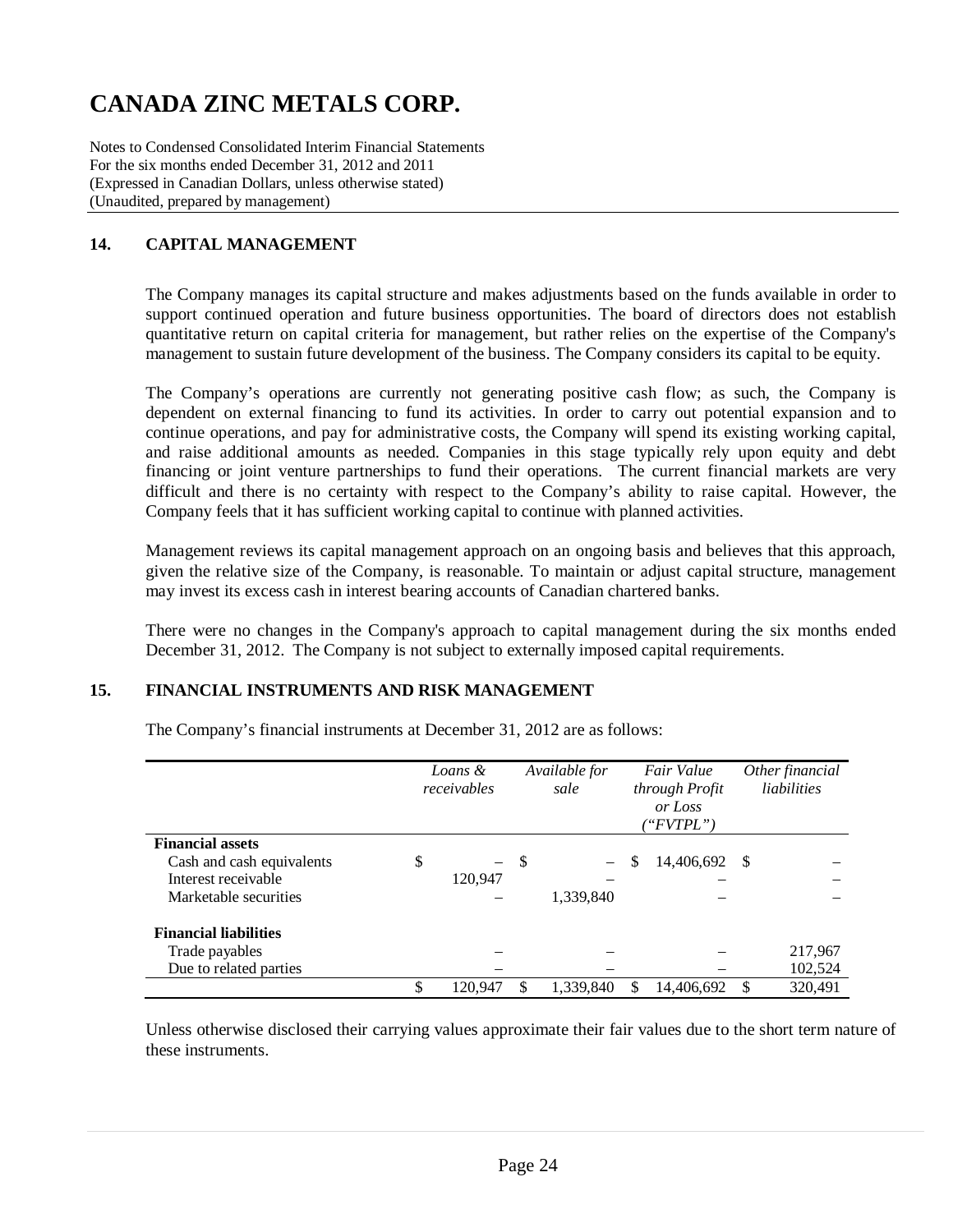Notes to Condensed Consolidated Interim Financial Statements For the six months ended December 31, 2012 and 2011 (Expressed in Canadian Dollars, unless otherwise stated) (Unaudited, prepared by management)

## **14. CAPITAL MANAGEMENT**

The Company manages its capital structure and makes adjustments based on the funds available in order to support continued operation and future business opportunities. The board of directors does not establish quantitative return on capital criteria for management, but rather relies on the expertise of the Company's management to sustain future development of the business. The Company considers its capital to be equity.

The Company's operations are currently not generating positive cash flow; as such, the Company is dependent on external financing to fund its activities. In order to carry out potential expansion and to continue operations, and pay for administrative costs, the Company will spend its existing working capital, and raise additional amounts as needed. Companies in this stage typically rely upon equity and debt financing or joint venture partnerships to fund their operations. The current financial markets are very difficult and there is no certainty with respect to the Company's ability to raise capital. However, the Company feels that it has sufficient working capital to continue with planned activities.

Management reviews its capital management approach on an ongoing basis and believes that this approach, given the relative size of the Company, is reasonable. To maintain or adjust capital structure, management may invest its excess cash in interest bearing accounts of Canadian chartered banks.

There were no changes in the Company's approach to capital management during the six months ended December 31, 2012. The Company is not subject to externally imposed capital requirements.

### **15. FINANCIAL INSTRUMENTS AND RISK MANAGEMENT**

The Company's financial instruments at December 31, 2012 are as follows:

|                              | Loans &<br>receivables         |     | Available for<br>sale | Fair Value<br>through Profit<br>or Loss<br>("FVTPL") |            | Other financial<br>liabilities |         |
|------------------------------|--------------------------------|-----|-----------------------|------------------------------------------------------|------------|--------------------------------|---------|
| <b>Financial assets</b>      |                                |     |                       |                                                      |            |                                |         |
| Cash and cash equivalents    | \$<br>$\overline{\phantom{0}}$ | -\$ |                       | S                                                    | 14,406,692 | -S                             |         |
| Interest receivable          | 120.947                        |     |                       |                                                      |            |                                |         |
| Marketable securities        |                                |     | 1,339,840             |                                                      |            |                                |         |
| <b>Financial liabilities</b> |                                |     |                       |                                                      |            |                                |         |
| Trade payables               |                                |     |                       |                                                      |            |                                | 217,967 |
| Due to related parties       |                                |     |                       |                                                      |            |                                | 102,524 |
|                              | \$<br>120.947                  | \$  | 1,339,840             | S                                                    | 14,406,692 | \$                             | 320,491 |

Unless otherwise disclosed their carrying values approximate their fair values due to the short term nature of these instruments.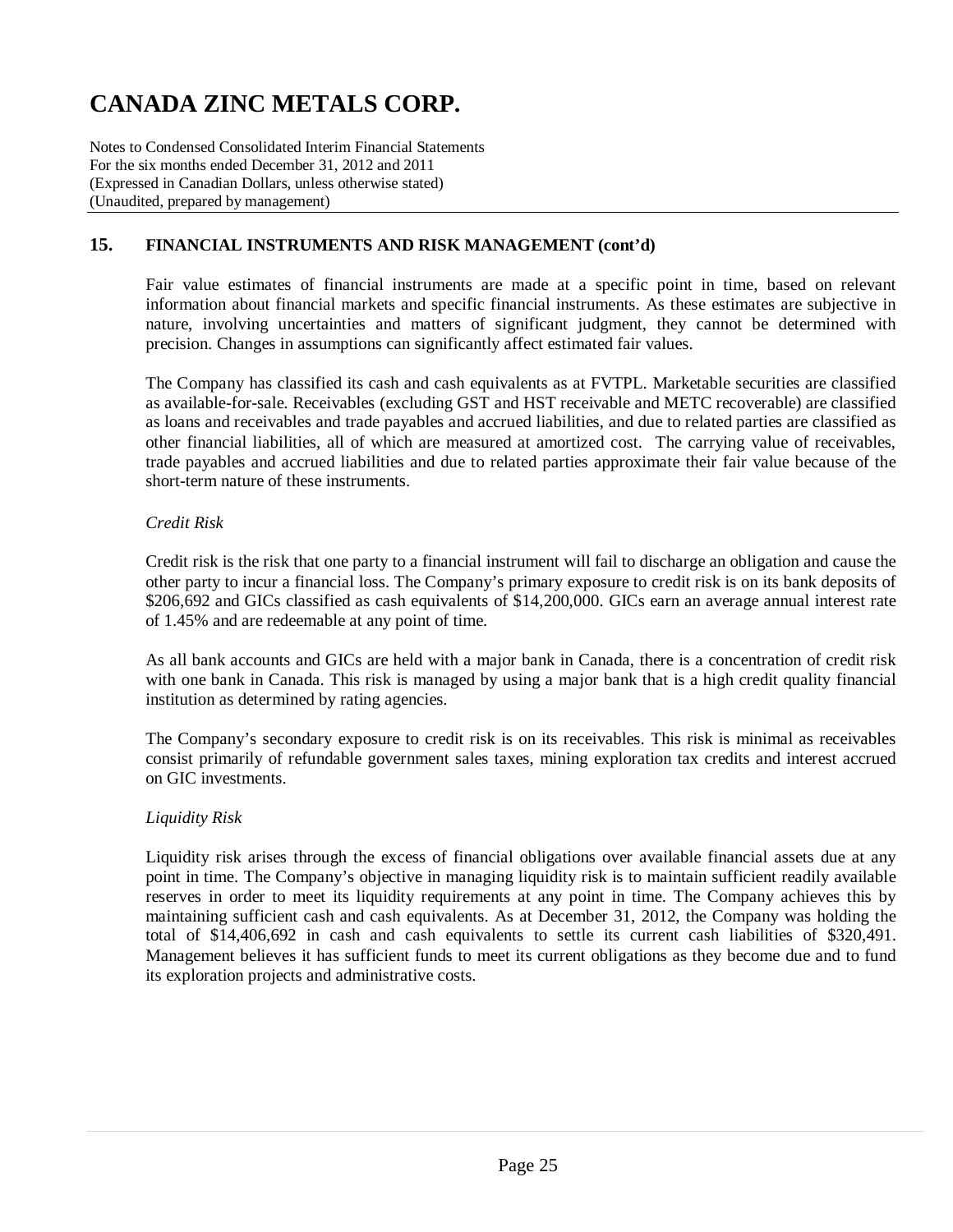Notes to Condensed Consolidated Interim Financial Statements For the six months ended December 31, 2012 and 2011 (Expressed in Canadian Dollars, unless otherwise stated) (Unaudited, prepared by management)

### **15. FINANCIAL INSTRUMENTS AND RISK MANAGEMENT (cont'd)**

Fair value estimates of financial instruments are made at a specific point in time, based on relevant information about financial markets and specific financial instruments. As these estimates are subjective in nature, involving uncertainties and matters of significant judgment, they cannot be determined with precision. Changes in assumptions can significantly affect estimated fair values.

The Company has classified its cash and cash equivalents as at FVTPL. Marketable securities are classified as available-for-sale. Receivables (excluding GST and HST receivable and METC recoverable) are classified as loans and receivables and trade payables and accrued liabilities, and due to related parties are classified as other financial liabilities, all of which are measured at amortized cost. The carrying value of receivables, trade payables and accrued liabilities and due to related parties approximate their fair value because of the short-term nature of these instruments.

#### *Credit Risk*

Credit risk is the risk that one party to a financial instrument will fail to discharge an obligation and cause the other party to incur a financial loss. The Company's primary exposure to credit risk is on its bank deposits of \$206,692 and GICs classified as cash equivalents of \$14,200,000. GICs earn an average annual interest rate of 1.45% and are redeemable at any point of time.

As all bank accounts and GICs are held with a major bank in Canada, there is a concentration of credit risk with one bank in Canada. This risk is managed by using a major bank that is a high credit quality financial institution as determined by rating agencies.

The Company's secondary exposure to credit risk is on its receivables. This risk is minimal as receivables consist primarily of refundable government sales taxes, mining exploration tax credits and interest accrued on GIC investments.

### *Liquidity Risk*

Liquidity risk arises through the excess of financial obligations over available financial assets due at any point in time. The Company's objective in managing liquidity risk is to maintain sufficient readily available reserves in order to meet its liquidity requirements at any point in time. The Company achieves this by maintaining sufficient cash and cash equivalents. As at December 31, 2012, the Company was holding the total of \$14,406,692 in cash and cash equivalents to settle its current cash liabilities of \$320,491. Management believes it has sufficient funds to meet its current obligations as they become due and to fund its exploration projects and administrative costs.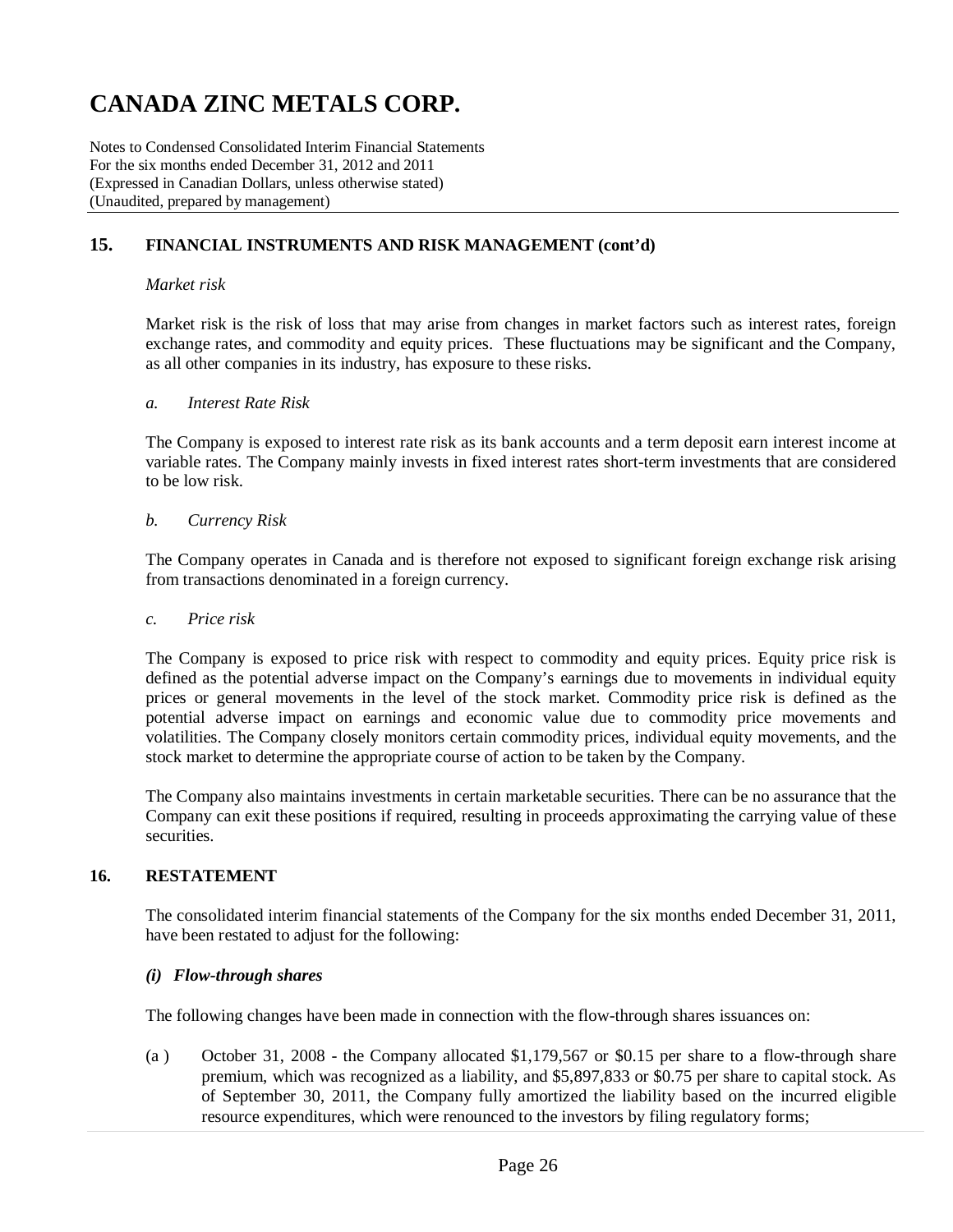Notes to Condensed Consolidated Interim Financial Statements For the six months ended December 31, 2012 and 2011 (Expressed in Canadian Dollars, unless otherwise stated) (Unaudited, prepared by management)

### **15. FINANCIAL INSTRUMENTS AND RISK MANAGEMENT (cont'd)**

#### *Market risk*

Market risk is the risk of loss that may arise from changes in market factors such as interest rates, foreign exchange rates, and commodity and equity prices. These fluctuations may be significant and the Company, as all other companies in its industry, has exposure to these risks.

#### *a. Interest Rate Risk*

The Company is exposed to interest rate risk as its bank accounts and a term deposit earn interest income at variable rates. The Company mainly invests in fixed interest rates short-term investments that are considered to be low risk.

#### *b. Currency Risk*

The Company operates in Canada and is therefore not exposed to significant foreign exchange risk arising from transactions denominated in a foreign currency.

#### *c. Price risk*

The Company is exposed to price risk with respect to commodity and equity prices. Equity price risk is defined as the potential adverse impact on the Company's earnings due to movements in individual equity prices or general movements in the level of the stock market. Commodity price risk is defined as the potential adverse impact on earnings and economic value due to commodity price movements and volatilities. The Company closely monitors certain commodity prices, individual equity movements, and the stock market to determine the appropriate course of action to be taken by the Company.

The Company also maintains investments in certain marketable securities. There can be no assurance that the Company can exit these positions if required, resulting in proceeds approximating the carrying value of these securities.

#### **16. RESTATEMENT**

The consolidated interim financial statements of the Company for the six months ended December 31, 2011, have been restated to adjust for the following:

#### *(i) Flow-through shares*

The following changes have been made in connection with the flow-through shares issuances on:

(a ) October 31, 2008 - the Company allocated \$1,179,567 or \$0.15 per share to a flow-through share premium, which was recognized as a liability, and \$5,897,833 or \$0.75 per share to capital stock. As of September 30, 2011, the Company fully amortized the liability based on the incurred eligible resource expenditures, which were renounced to the investors by filing regulatory forms;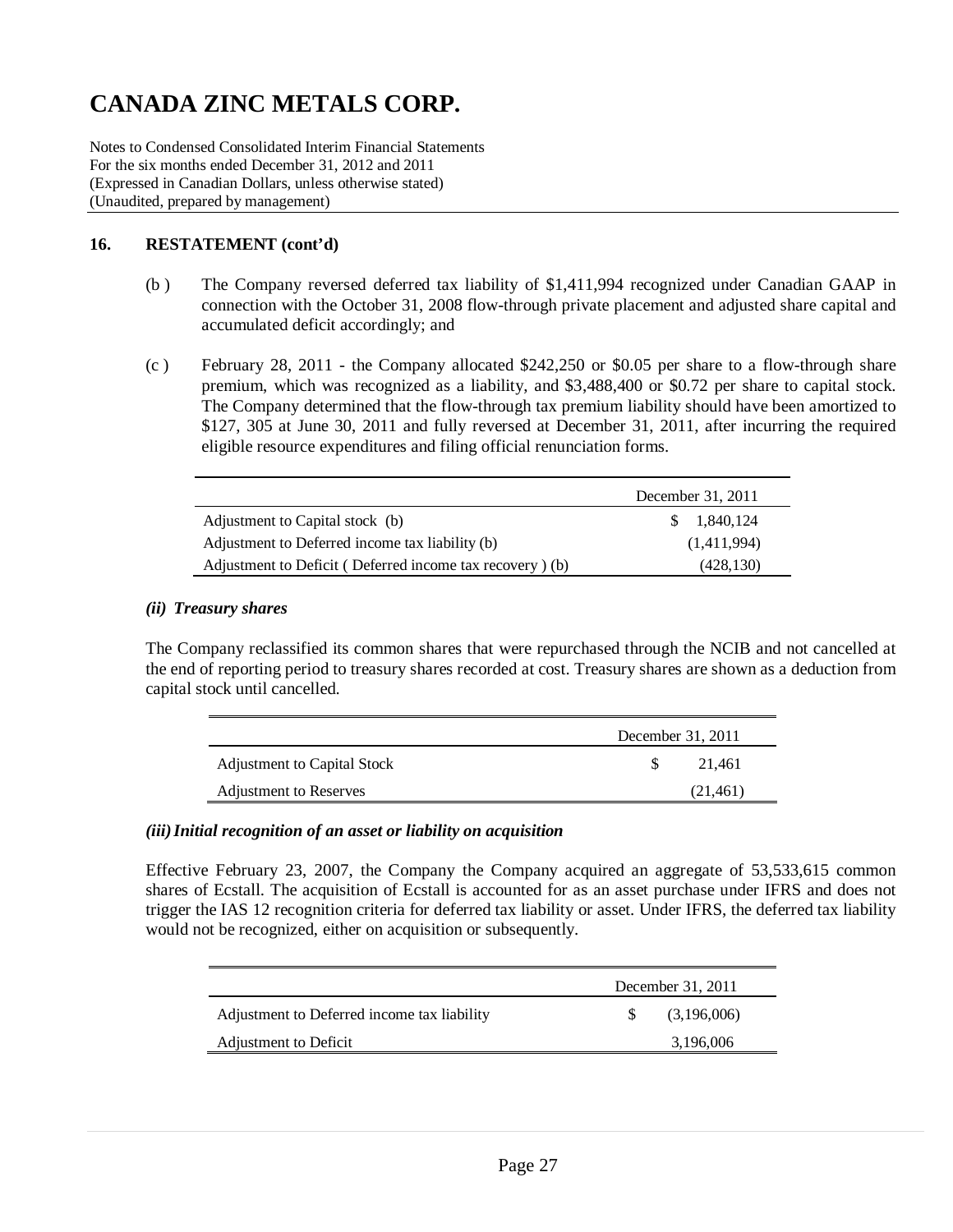Notes to Condensed Consolidated Interim Financial Statements For the six months ended December 31, 2012 and 2011 (Expressed in Canadian Dollars, unless otherwise stated) (Unaudited, prepared by management)

### **16. RESTATEMENT (cont'd)**

- (b ) The Company reversed deferred tax liability of \$1,411,994 recognized under Canadian GAAP in connection with the October 31, 2008 flow-through private placement and adjusted share capital and accumulated deficit accordingly; and
- (c ) February 28, 2011 the Company allocated \$242,250 or \$0.05 per share to a flow-through share premium, which was recognized as a liability, and \$3,488,400 or \$0.72 per share to capital stock. The Company determined that the flow-through tax premium liability should have been amortized to \$127, 305 at June 30, 2011 and fully reversed at December 31, 2011, after incurring the required eligible resource expenditures and filing official renunciation forms.

|                                                          | December 31, 2011   |
|----------------------------------------------------------|---------------------|
| Adjustment to Capital stock (b)                          | $\frac{1,840,124}{$ |
| Adjustment to Deferred income tax liability (b)          | (1,411,994)         |
| Adjustment to Deficit (Deferred income tax recovery) (b) | (428, 130)          |

#### *(ii) Treasury shares*

The Company reclassified its common shares that were repurchased through the NCIB and not cancelled at the end of reporting period to treasury shares recorded at cost. Treasury shares are shown as a deduction from capital stock until cancelled.

|                             | December 31, 2011 |          |  |  |
|-----------------------------|-------------------|----------|--|--|
| Adjustment to Capital Stock |                   | 21.461   |  |  |
| Adjustment to Reserves      |                   | (21.461) |  |  |

### *(iii)Initial recognition of an asset or liability on acquisition*

Effective February 23, 2007, the Company the Company acquired an aggregate of 53,533,615 common shares of Ecstall. The acquisition of Ecstall is accounted for as an asset purchase under IFRS and does not trigger the IAS 12 recognition criteria for deferred tax liability or asset. Under IFRS, the deferred tax liability would not be recognized, either on acquisition or subsequently.

|                                             | December 31, 2011 |             |  |  |  |
|---------------------------------------------|-------------------|-------------|--|--|--|
| Adjustment to Deferred income tax liability |                   | (3,196,006) |  |  |  |
| Adjustment to Deficit                       |                   | 3,196,006   |  |  |  |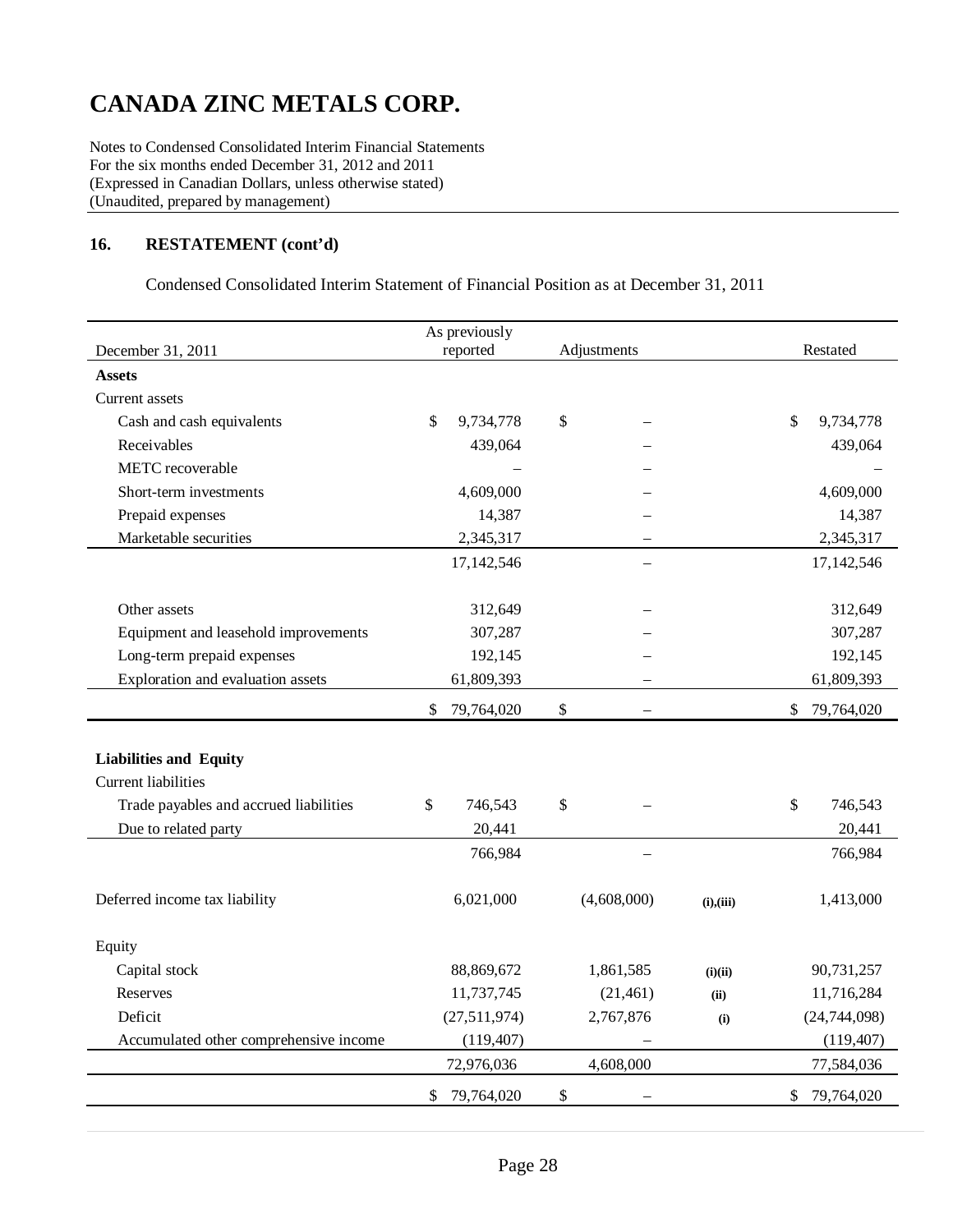Notes to Condensed Consolidated Interim Financial Statements For the six months ended December 31, 2012 and 2011 (Expressed in Canadian Dollars, unless otherwise stated) (Unaudited, prepared by management)

### **16. RESTATEMENT (cont'd)**

Condensed Consolidated Interim Statement of Financial Position as at December 31, 2011

| December 31, 2011                      | As previously<br>reported<br>Adjustments |             |                            |  |  |  |
|----------------------------------------|------------------------------------------|-------------|----------------------------|--|--|--|
| <b>Assets</b>                          |                                          |             | Restated                   |  |  |  |
| Current assets                         |                                          |             |                            |  |  |  |
| Cash and cash equivalents              | \$<br>9,734,778                          | \$          | \$<br>9,734,778            |  |  |  |
| Receivables                            | 439,064                                  |             | 439,064                    |  |  |  |
| METC recoverable                       |                                          |             |                            |  |  |  |
|                                        |                                          |             |                            |  |  |  |
| Short-term investments                 | 4,609,000                                |             | 4,609,000                  |  |  |  |
| Prepaid expenses                       | 14,387                                   |             | 14,387                     |  |  |  |
| Marketable securities                  | 2,345,317                                |             | 2,345,317                  |  |  |  |
|                                        | 17,142,546                               |             | 17,142,546                 |  |  |  |
| Other assets                           | 312,649                                  |             | 312,649                    |  |  |  |
| Equipment and leasehold improvements   | 307,287                                  |             | 307,287                    |  |  |  |
| Long-term prepaid expenses             | 192,145                                  |             | 192,145                    |  |  |  |
| Exploration and evaluation assets      | 61,809,393                               |             | 61,809,393                 |  |  |  |
|                                        |                                          |             |                            |  |  |  |
|                                        | \$<br>79,764,020                         | $\$\,$      | $\mathbb{S}$<br>79,764,020 |  |  |  |
| <b>Liabilities and Equity</b>          |                                          |             |                            |  |  |  |
| <b>Current liabilities</b>             |                                          |             |                            |  |  |  |
| Trade payables and accrued liabilities | \$<br>746,543                            | \$          | \$<br>746,543              |  |  |  |
| Due to related party                   | 20,441                                   |             | 20,441                     |  |  |  |
|                                        | 766,984                                  |             | 766,984                    |  |  |  |
|                                        |                                          |             |                            |  |  |  |
| Deferred income tax liability          | 6,021,000                                | (4,608,000) | 1,413,000<br>(i), (iii)    |  |  |  |
| Equity                                 |                                          |             |                            |  |  |  |
|                                        | 88,869,672                               | 1,861,585   | 90,731,257                 |  |  |  |
| Capital stock<br>Reserves              | 11,737,745                               | (21, 461)   | (i)(ii)<br>11,716,284      |  |  |  |
| Deficit                                |                                          |             | (ii)                       |  |  |  |
|                                        | (27,511,974)                             | 2,767,876   | (24, 744, 098)<br>(i)      |  |  |  |
| Accumulated other comprehensive income | (119, 407)                               |             | (119, 407)                 |  |  |  |
|                                        | 72,976,036                               | 4,608,000   | 77,584,036                 |  |  |  |
|                                        | 79,764,020<br>\$                         | \$          | 79,764,020<br>\$           |  |  |  |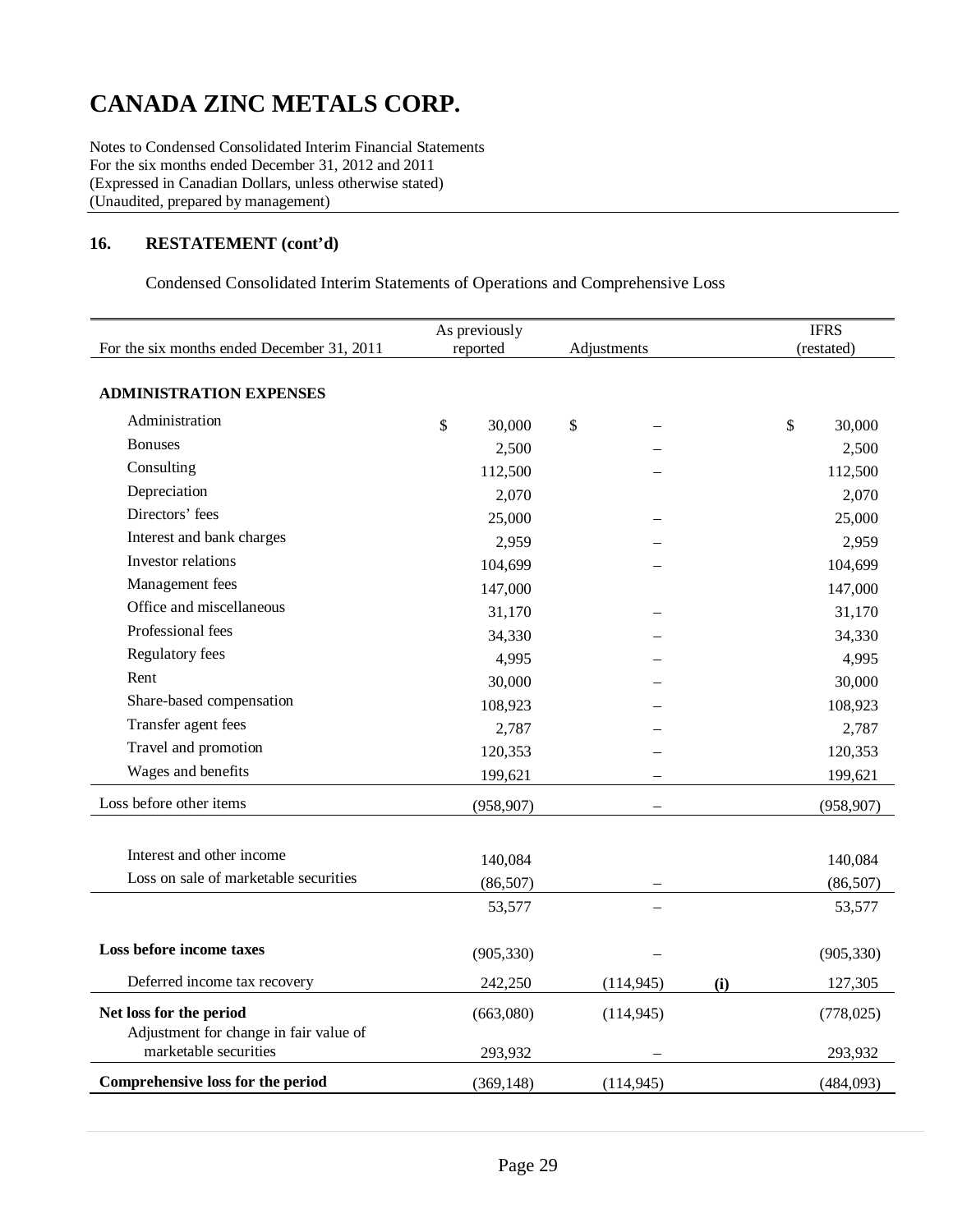Notes to Condensed Consolidated Interim Financial Statements For the six months ended December 31, 2012 and 2011 (Expressed in Canadian Dollars, unless otherwise stated) (Unaudited, prepared by management)

### **16. RESTATEMENT (cont'd)**

Condensed Consolidated Interim Statements of Operations and Comprehensive Loss

|                                                                   |              | As previously |               |             |     | <b>IFRS</b> |            |  |
|-------------------------------------------------------------------|--------------|---------------|---------------|-------------|-----|-------------|------------|--|
| For the six months ended December 31, 2011                        |              | reported      |               | Adjustments |     | (restated)  |            |  |
| <b>ADMINISTRATION EXPENSES</b>                                    |              |               |               |             |     |             |            |  |
| Administration                                                    | $\mathbb{S}$ | 30,000        | $\mathcal{S}$ |             |     | \$          | 30,000     |  |
| <b>Bonuses</b>                                                    |              | 2,500         |               |             |     |             | 2,500      |  |
| Consulting                                                        |              | 112,500       |               |             |     |             | 112,500    |  |
| Depreciation                                                      |              | 2,070         |               |             |     |             | 2,070      |  |
| Directors' fees                                                   |              | 25,000        |               |             |     |             | 25,000     |  |
| Interest and bank charges                                         |              | 2,959         |               |             |     |             | 2,959      |  |
| Investor relations                                                |              | 104,699       |               |             |     |             | 104,699    |  |
| Management fees                                                   |              | 147,000       |               |             |     |             | 147,000    |  |
| Office and miscellaneous                                          |              | 31,170        |               |             |     |             | 31,170     |  |
| Professional fees                                                 |              | 34,330        |               |             |     |             | 34,330     |  |
| Regulatory fees                                                   |              | 4,995         |               |             |     |             | 4,995      |  |
| Rent                                                              |              | 30,000        |               |             |     |             | 30,000     |  |
| Share-based compensation                                          |              | 108,923       |               |             |     |             | 108,923    |  |
| Transfer agent fees                                               |              | 2,787         |               |             |     |             | 2,787      |  |
| Travel and promotion                                              |              | 120,353       |               |             |     |             | 120,353    |  |
| Wages and benefits                                                |              | 199,621       |               |             |     |             | 199,621    |  |
| Loss before other items                                           |              | (958, 907)    |               |             |     |             | (958, 907) |  |
|                                                                   |              |               |               |             |     |             |            |  |
| Interest and other income                                         |              | 140,084       |               |             |     |             | 140,084    |  |
| Loss on sale of marketable securities                             |              | (86, 507)     |               |             |     |             | (86, 507)  |  |
|                                                                   |              | 53,577        |               |             |     |             | 53,577     |  |
| Loss before income taxes                                          |              | (905, 330)    |               |             |     |             | (905, 330) |  |
| Deferred income tax recovery                                      |              | 242,250       |               | (114, 945)  | (i) |             | 127,305    |  |
| Net loss for the period<br>Adjustment for change in fair value of |              | (663,080)     |               | (114, 945)  |     |             | (778, 025) |  |
| marketable securities                                             |              | 293,932       |               |             |     |             | 293,932    |  |
| Comprehensive loss for the period                                 |              | (369, 148)    |               | (114, 945)  |     |             | (484,093)  |  |